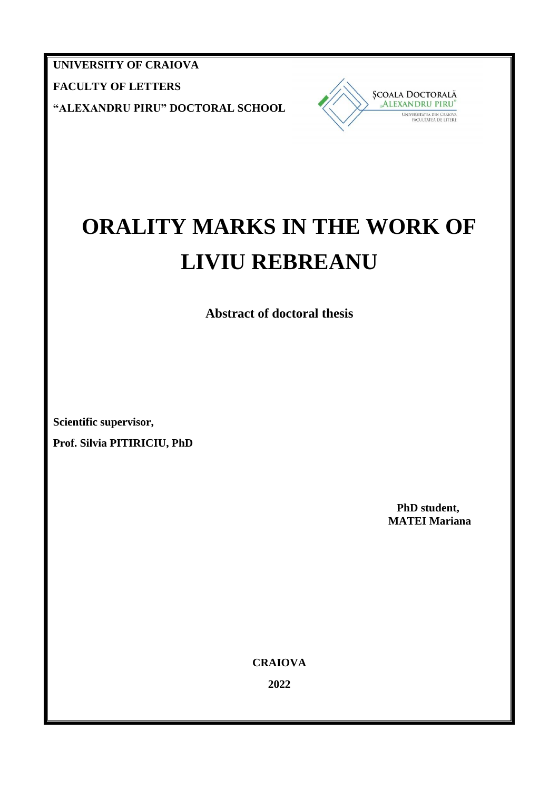**UNIVERSITY OF CRAIOVA FACULTY OF LETTERS "ALEXANDRU PIRU" DOCTORAL SCHOOL**



# **ORALITY MARKS IN THE WORK OF LIVIU REBREANU**

**Abstract of doctoral thesis**

**Scientific supervisor,**

**Prof. Silvia PITIRICIU, PhD**

 **PhD student, MATEI Mariana**

**CRAIOVA**

**2022**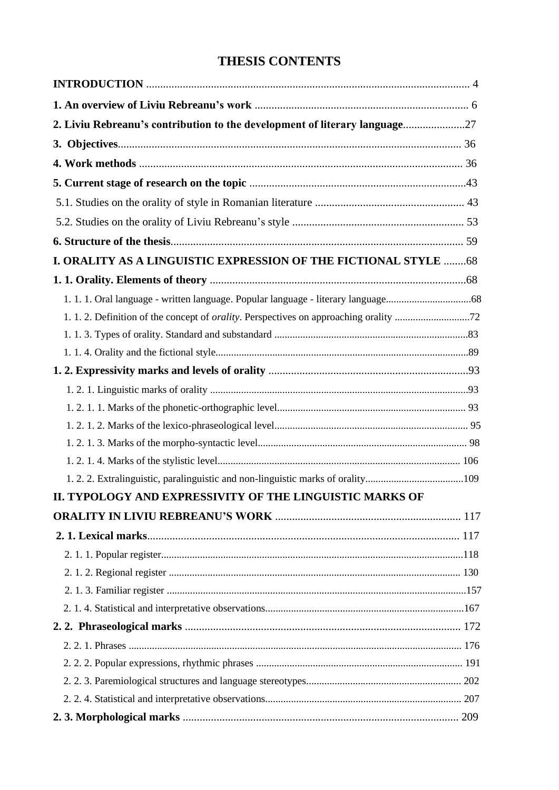## **THESIS CONTENTS**

| 2. Liviu Rebreanu's contribution to the development of literary language27      |  |
|---------------------------------------------------------------------------------|--|
|                                                                                 |  |
|                                                                                 |  |
|                                                                                 |  |
|                                                                                 |  |
|                                                                                 |  |
|                                                                                 |  |
| I. ORALITY AS A LINGUISTIC EXPRESSION OF THE FICTIONAL STYLE 68                 |  |
|                                                                                 |  |
| 1. 1. 1. Oral language - written language. Popular language - literary language |  |
|                                                                                 |  |
|                                                                                 |  |
|                                                                                 |  |
|                                                                                 |  |
|                                                                                 |  |
|                                                                                 |  |
|                                                                                 |  |
|                                                                                 |  |
|                                                                                 |  |
| 1.2.2. Extralinguistic, paralinguistic and non-linguistic marks of orality109   |  |
| II. TYPOLOGY AND EXPRESSIVITY OF THE LINGUISTIC MARKS OF                        |  |
|                                                                                 |  |
|                                                                                 |  |
|                                                                                 |  |
|                                                                                 |  |
|                                                                                 |  |
|                                                                                 |  |
|                                                                                 |  |
|                                                                                 |  |
|                                                                                 |  |
|                                                                                 |  |
|                                                                                 |  |
|                                                                                 |  |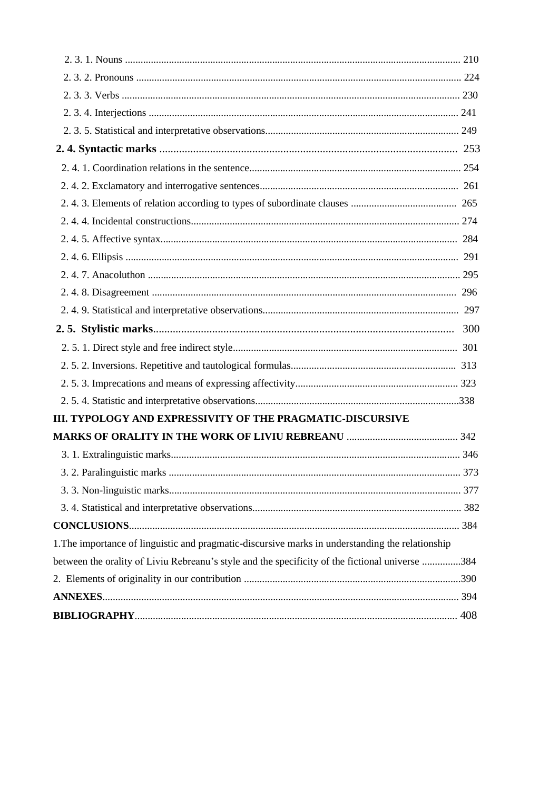| III. TYPOLOGY AND EXPRESSIVITY OF THE PRAGMATIC-DISCURSIVE                                       |  |
|--------------------------------------------------------------------------------------------------|--|
|                                                                                                  |  |
|                                                                                                  |  |
|                                                                                                  |  |
|                                                                                                  |  |
|                                                                                                  |  |
|                                                                                                  |  |
| 1. The importance of linguistic and pragmatic-discursive marks in understanding the relationship |  |
| between the orality of Liviu Rebreanu's style and the specificity of the fictional universe 384  |  |
|                                                                                                  |  |
|                                                                                                  |  |
|                                                                                                  |  |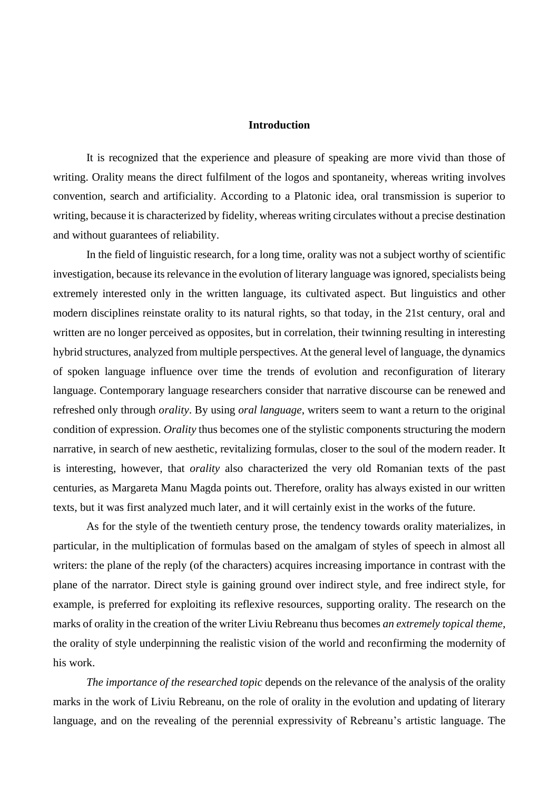#### **Introduction**

It is recognized that the experience and pleasure of speaking are more vivid than those of writing. Orality means the direct fulfilment of the logos and spontaneity, whereas writing involves convention, search and artificiality. According to a Platonic idea, oral transmission is superior to writing, because it is characterized by fidelity, whereas writing circulates without a precise destination and without guarantees of reliability.

In the field of linguistic research, for a long time, orality was not a subject worthy of scientific investigation, because its relevance in the evolution of literary language was ignored, specialists being extremely interested only in the written language, its cultivated aspect. But linguistics and other modern disciplines reinstate orality to its natural rights, so that today, in the 21st century, oral and written are no longer perceived as opposites, but in correlation, their twinning resulting in interesting hybrid structures, analyzed from multiple perspectives. At the general level of language, the dynamics of spoken language influence over time the trends of evolution and reconfiguration of literary language. Contemporary language researchers consider that narrative discourse can be renewed and refreshed only through *orality*. By using *oral language*, writers seem to want a return to the original condition of expression. *Orality* thus becomes one of the stylistic components structuring the modern narrative, in search of new aesthetic, revitalizing formulas, closer to the soul of the modern reader. It is interesting, however, that *orality* also characterized the very old Romanian texts of the past centuries, as Margareta Manu Magda points out. Therefore, orality has always existed in our written texts, but it was first analyzed much later, and it will certainly exist in the works of the future.

As for the style of the twentieth century prose, the tendency towards orality materializes, in particular, in the multiplication of formulas based on the amalgam of styles of speech in almost all writers: the plane of the reply (of the characters) acquires increasing importance in contrast with the plane of the narrator. Direct style is gaining ground over indirect style, and free indirect style, for example, is preferred for exploiting its reflexive resources, supporting orality. The research on the marks of orality in the creation of the writer Liviu Rebreanu thus becomes *an extremely topical theme*, the orality of style underpinning the realistic vision of the world and reconfirming the modernity of his work.

*The importance of the researched topic* depends on the relevance of the analysis of the orality marks in the work of Liviu Rebreanu, on the role of orality in the evolution and updating of literary language, and on the revealing of the perennial expressivity of Rebreanu's artistic language. The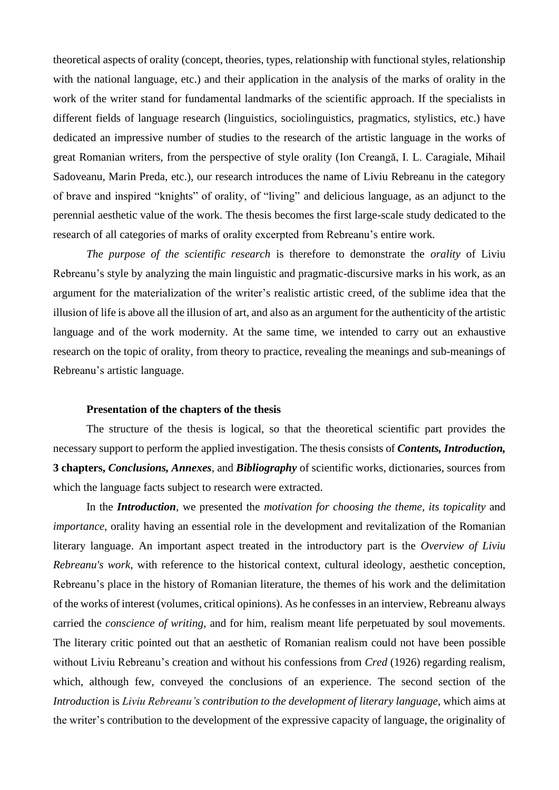theoretical aspects of orality (concept, theories, types, relationship with functional styles, relationship with the national language, etc.) and their application in the analysis of the marks of orality in the work of the writer stand for fundamental landmarks of the scientific approach. If the specialists in different fields of language research (linguistics, sociolinguistics, pragmatics, stylistics, etc.) have dedicated an impressive number of studies to the research of the artistic language in the works of great Romanian writers, from the perspective of style orality (Ion Creangă, I. L. Caragiale, Mihail Sadoveanu, Marin Preda, etc.), our research introduces the name of Liviu Rebreanu in the category of brave and inspired "knights" of orality, of "living" and delicious language, as an adjunct to the perennial aesthetic value of the work. The thesis becomes the first large-scale study dedicated to the research of all categories of marks of orality excerpted from Rebreanu's entire work.

*The purpose of the scientific research* is therefore to demonstrate the *orality* of Liviu Rebreanu's style by analyzing the main linguistic and pragmatic-discursive marks in his work, as an argument for the materialization of the writer's realistic artistic creed, of the sublime idea that the illusion of life is above all the illusion of art, and also as an argument for the authenticity of the artistic language and of the work modernity. At the same time, we intended to carry out an exhaustive research on the topic of orality, from theory to practice, revealing the meanings and sub-meanings of Rebreanu's artistic language.

#### **Presentation of the chapters of the thesis**

The structure of the thesis is logical, so that the theoretical scientific part provides the necessary support to perform the applied investigation. The thesis consists of *Contents, Introduction,* **3 chapters,** *Conclusions, Annexes*, and *Bibliography* of scientific works, dictionaries, sources from which the language facts subject to research were extracted.

In the *Introduction*, we presented the *motivation for choosing the theme, its topicality* and *importance*, orality having an essential role in the development and revitalization of the Romanian literary language. An important aspect treated in the introductory part is the *Overview of Liviu Rebreanu's work*, with reference to the historical context, cultural ideology, aesthetic conception, Rebreanu's place in the history of Romanian literature, the themes of his work and the delimitation of the works of interest (volumes, critical opinions). As he confesses in an interview, Rebreanu always carried the *conscience of writing*, and for him, realism meant life perpetuated by soul movements. The literary critic pointed out that an aesthetic of Romanian realism could not have been possible without Liviu Rebreanu's creation and without his confessions from *Cred* (1926) regarding realism, which, although few, conveyed the conclusions of an experience. The second section of the *Introduction* is *Liviu Rebreanu's contribution to the development of literary language*, which aims at the writer's contribution to the development of the expressive capacity of language, the originality of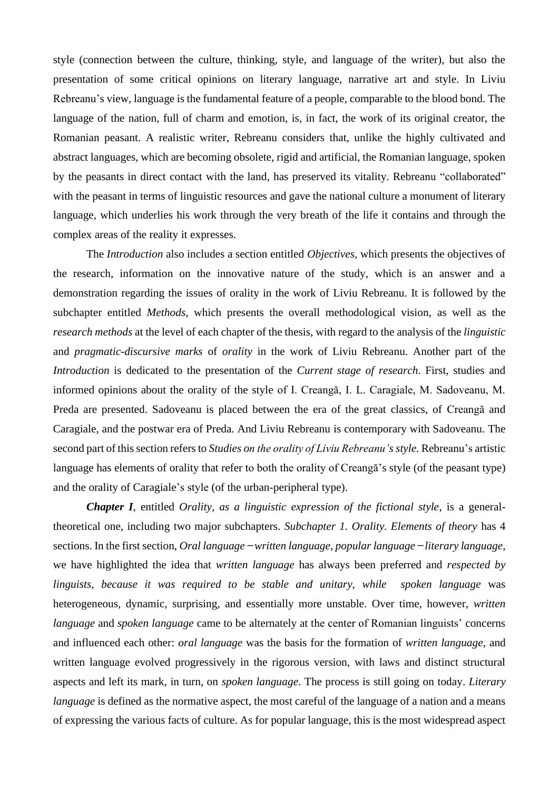style (connection between the culture, thinking, style, and language of the writer), but also the presentation of some critical opinions on literary language, narrative art and style. In Liviu Rebreanu's view, language is the fundamental feature of a people, comparable to the blood bond. The language of the nation, full of charm and emotion, is, in fact, the work of its original creator, the Romanian peasant. A realistic writer, Rebreanu considers that, unlike the highly cultivated and abstract languages, which are becoming obsolete, rigid and artificial, the Romanian language, spoken by the peasants in direct contact with the land, has preserved its vitality. Rebreanu "collaborated" with the peasant in terms of linguistic resources and gave the national culture a monument of literary language, which underlies his work through the very breath of the life it contains and through the complex areas of the reality it expresses.

The *Introduction* also includes a section entitled *Objectives*, which presents the objectives of the research, information on the innovative nature of the study, which is an answer and a demonstration regarding the issues of orality in the work of Liviu Rebreanu. It is followed by the subchapter entitled *Methods*, which presents the overall methodological vision, as well as the *research methods* at the level of each chapter of the thesis, with regard to the analysis of the *linguistic*  and *pragmatic-discursive marks* of *orality* in the work of Liviu Rebreanu. Another part of the *Introduction* is dedicated to the presentation of the *Current stage of research*. First, studies and informed opinions about the orality of the style of I. Creangă, I. L. Caragiale, M. Sadoveanu, M. Preda are presented. Sadoveanu is placed between the era of the great classics, of Creangă and Caragiale, and the postwar era of Preda. And Liviu Rebreanu is contemporary with Sadoveanu. The second part of this section refers to *Studies on the orality of Liviu Rebreanu's style.* Rebreanu's artistic language has elements of orality that refer to both the orality of Creangă's style (of the peasant type) and the orality of Caragiale's style (of the urban-peripheral type).

*Chapter I*, entitled *Orality, as a linguistic expression of the fictional style*, is a generaltheoretical one, including two major subchapters. *Subchapter 1. Orality. Elements of theory* has 4 sections. In the first section, *Oral language ̶ written language, popular language ̶literary language*, we have highlighted the idea that *written language* has always been preferred and *respected by linguists, because it was required to be stable and unitary, while spoken language* was heterogeneous, dynamic, surprising, and essentially more unstable. Over time, however, *written language* and *spoken language* came to be alternately at the center of Romanian linguists' concerns and influenced each other: *oral language* was the basis for the formation of *written language*, and written language evolved progressively in the rigorous version, with laws and distinct structural aspects and left its mark, in turn, on *spoken language*. The process is still going on today. *Literary language* is defined as the normative aspect, the most careful of the language of a nation and a means of expressing the various facts of culture. As for popular language, this is the most widespread aspect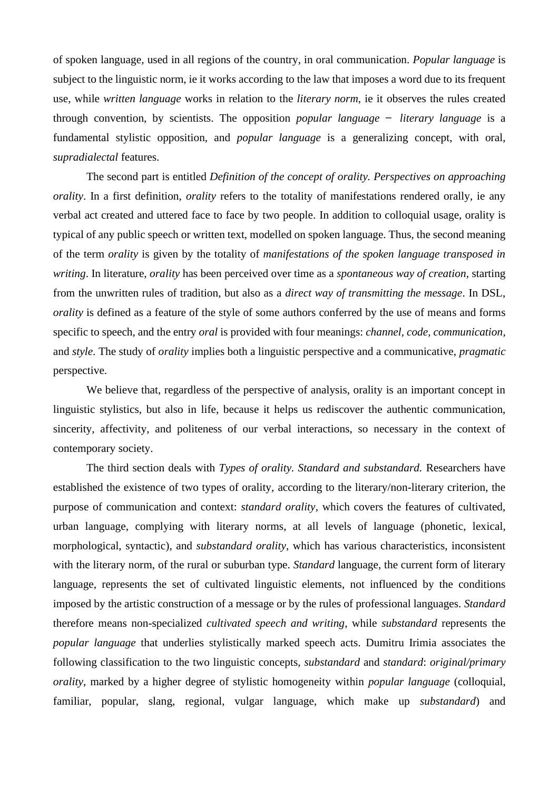of spoken language, used in all regions of the country, in oral communication. *Popular language* is subject to the linguistic norm, ie it works according to the law that imposes a word due to its frequent use, while *written language* works in relation to the *literary norm*, ie it observes the rules created through convention, by scientists. The opposition *popular language ̶ literary language* is a fundamental stylistic opposition, and *popular language* is a generalizing concept, with oral, *supradialectal* features.

The second part is entitled *Definition of the concept of orality. Perspectives on approaching orality*. In a first definition, *orality* refers to the totality of manifestations rendered orally, ie any verbal act created and uttered face to face by two people. In addition to colloquial usage, orality is typical of any public speech or written text, modelled on spoken language. Thus, the second meaning of the term *orality* is given by the totality of *manifestations of the spoken language transposed in writing*. In literature, *orality* has been perceived over time as a *spontaneous way of creation*, starting from the unwritten rules of tradition, but also as a *direct way of transmitting the message*. In DSL, *orality* is defined as a feature of the style of some authors conferred by the use of means and forms specific to speech, and the entry *oral* is provided with four meanings: *channel, code, communication,* and *style*. The study of *orality* implies both a linguistic perspective and a communicative, *pragmatic*  perspective.

We believe that, regardless of the perspective of analysis, orality is an important concept in linguistic stylistics, but also in life, because it helps us rediscover the authentic communication, sincerity, affectivity, and politeness of our verbal interactions, so necessary in the context of contemporary society.

The third section deals with *Types of orality. Standard and substandard.* Researchers have established the existence of two types of orality, according to the literary/non-literary criterion, the purpose of communication and context: *standard orality,* which covers the features of cultivated, urban language, complying with literary norms, at all levels of language (phonetic, lexical, morphological, syntactic), and *substandard orality*, which has various characteristics, inconsistent with the literary norm, of the rural or suburban type. *Standard* language, the current form of literary language, represents the set of cultivated linguistic elements, not influenced by the conditions imposed by the artistic construction of a message or by the rules of professional languages. *Standard* therefore means non-specialized *cultivated speech and writing*, while *substandard* represents the *popular language* that underlies stylistically marked speech acts. Dumitru Irimia associates the following classification to the two linguistic concepts, *substandard* and *standard*: *original/primary orality*, marked by a higher degree of stylistic homogeneity within *popular language* (colloquial, familiar, popular, slang, regional, vulgar language, which make up *substandard*) and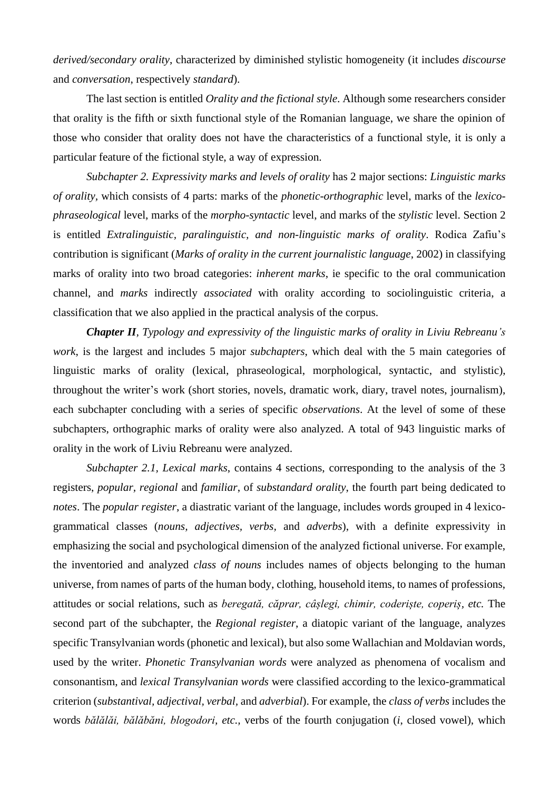*derived/secondary orality*, characterized by diminished stylistic homogeneity (it includes *discourse*  and *conversation*, respectively *standard*).

The last section is entitled *Orality and the fictional style*. Although some researchers consider that orality is the fifth or sixth functional style of the Romanian language, we share the opinion of those who consider that orality does not have the characteristics of a functional style, it is only a particular feature of the fictional style, a way of expression.

*Subchapter 2. Expressivity marks and levels of orality* has 2 major sections: *Linguistic marks of orality,* which consists of 4 parts: marks of the *phonetic-orthographic* level, marks of the *lexicophraseological* level, marks of the *morpho-syntactic* level, and marks of the *stylistic* level. Section 2 is entitled *Extralinguistic, paralinguistic, and non-linguistic marks of orality*. Rodica Zafiu's contribution is significant (*Marks of orality in the current journalistic language*, 2002) in classifying marks of orality into two broad categories: *inherent marks*, ie specific to the oral communication channel, and *marks* indirectly *associated* with orality according to sociolinguistic criteria, a classification that we also applied in the practical analysis of the corpus.

*Chapter II, Typology and expressivity of the linguistic marks of orality in Liviu Rebreanu's work*, is the largest and includes 5 major *subchapters*, which deal with the 5 main categories of linguistic marks of orality (lexical, phraseological, morphological, syntactic, and stylistic), throughout the writer's work (short stories, novels, dramatic work, diary, travel notes, journalism), each subchapter concluding with a series of specific *observations*. At the level of some of these subchapters, orthographic marks of orality were also analyzed. A total of 943 linguistic marks of orality in the work of Liviu Rebreanu were analyzed.

*Subchapter 2.1, Lexical marks*, contains 4 sections, corresponding to the analysis of the 3 registers, *popular, regional* and *familiar*, of *substandard orality*, the fourth part being dedicated to *notes*. The *popular register*, a diastratic variant of the language, includes words grouped in 4 lexicogrammatical classes (*nouns, adjectives, verbs,* and *adverbs*), with a definite expressivity in emphasizing the social and psychological dimension of the analyzed fictional universe. For example, the inventoried and analyzed *class of nouns* includes names of objects belonging to the human universe, from names of parts of the human body, clothing, household items, to names of professions, attitudes or social relations, such as *beregată, căprar, câșlegi, chimir, coderiște, coperiș, etc.* The second part of the subchapter, the *Regional register*, a diatopic variant of the language, analyzes specific Transylvanian words (phonetic and lexical), but also some Wallachian and Moldavian words, used by the writer. *Phonetic Transylvanian words* were analyzed as phenomena of vocalism and consonantism, and *lexical Transylvanian words* were classified according to the lexico-grammatical criterion (*substantival, adjectival, verbal,* and *adverbial*). For example, the *class of verbs* includes the words *bălălăi, bălăbăni, blogodori, etc.,* verbs of the fourth conjugation (*i*, closed vowel), which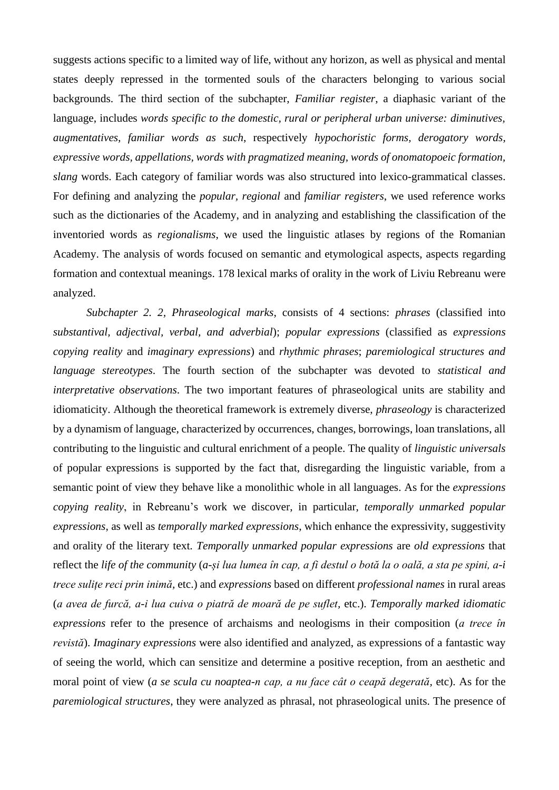suggests actions specific to a limited way of life, without any horizon, as well as physical and mental states deeply repressed in the tormented souls of the characters belonging to various social backgrounds. The third section of the subchapter, *Familiar register*, a diaphasic variant of the language, includes *words specific to the domestic, rural or peripheral urban universe: diminutives, augmentatives, familiar words as such*, respectively *hypochoristic forms, derogatory words, expressive words, appellations, words with pragmatized meaning, words of onomatopoeic formation, slang* words. Each category of familiar words was also structured into lexico-grammatical classes. For defining and analyzing the *popular, regional* and *familiar registers*, we used reference works such as the dictionaries of the Academy, and in analyzing and establishing the classification of the inventoried words as *regionalisms*, we used the linguistic atlases by regions of the Romanian Academy. The analysis of words focused on semantic and etymological aspects, aspects regarding formation and contextual meanings. 178 lexical marks of orality in the work of Liviu Rebreanu were analyzed.

*Subchapter 2. 2, Phraseological marks*, consists of 4 sections: *phrases* (classified into *substantival, adjectival, verbal, and adverbial*); *popular expressions* (classified as *expressions copying reality* and *imaginary expressions*) and *rhythmic phrases*; *paremiological structures and language stereotypes*. The fourth section of the subchapter was devoted to *statistical and interpretative observations*. The two important features of phraseological units are stability and idiomaticity. Although the theoretical framework is extremely diverse, *phraseology* is characterized by a dynamism of language, characterized by occurrences, changes, borrowings, loan translations, all contributing to the linguistic and cultural enrichment of a people. The quality of *linguistic universals* of popular expressions is supported by the fact that, disregarding the linguistic variable, from a semantic point of view they behave like a monolithic whole in all languages. As for the *expressions copying reality*, in Rebreanu's work we discover, in particular, *temporally unmarked popular expressions*, as well as *temporally marked expressions*, which enhance the expressivity, suggestivity and orality of the literary text. *Temporally unmarked popular expressions* are *old expressions* that reflect the *life of the community* (*a-și lua lumea în cap, a fi destul o botă la o oală, a sta pe spini, a-i trece sulițe reci prin inimă,* etc.) and *expressions* based on different *professional names* in rural areas (*a avea de furcă, a-i lua cuiva o piatră de moară de pe suflet,* etc.). *Temporally marked idiomatic expressions* refer to the presence of archaisms and neologisms in their composition (*a trece în revistă*). *Imaginary expressions* were also identified and analyzed, as expressions of a fantastic way of seeing the world, which can sensitize and determine a positive reception, from an aesthetic and moral point of view (*a se scula cu noaptea-n cap, a nu face cât o ceapă degerată,* etc). As for the *paremiological structures*, they were analyzed as phrasal, not phraseological units. The presence of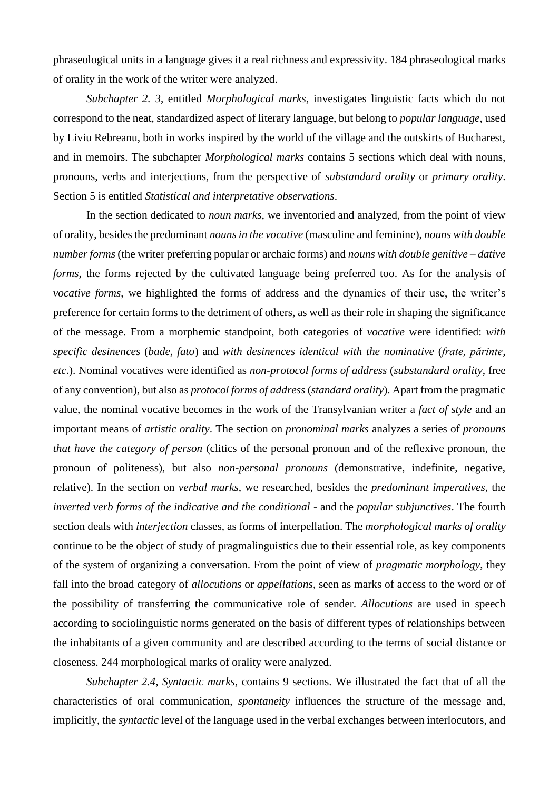phraseological units in a language gives it a real richness and expressivity. 184 phraseological marks of orality in the work of the writer were analyzed.

*Subchapter 2. 3*, entitled *Morphological marks*, investigates linguistic facts which do not correspond to the neat, standardized aspect of literary language, but belong to *popular language*, used by Liviu Rebreanu, both in works inspired by the world of the village and the outskirts of Bucharest, and in memoirs. The subchapter *Morphological marks* contains 5 sections which deal with nouns, pronouns, verbs and interjections, from the perspective of *substandard orality* or *primary orality*. Section 5 is entitled *Statistical and interpretative observations*.

In the section dedicated to *noun marks*, we inventoried and analyzed, from the point of view of orality, besides the predominant *nouns in the vocative* (masculine and feminine), *nouns with double number forms* (the writer preferring popular or archaic forms) and *nouns with double genitive – dative forms*, the forms rejected by the cultivated language being preferred too. As for the analysis of *vocative forms*, we highlighted the forms of address and the dynamics of their use, the writer's preference for certain forms to the detriment of others, as well as their role in shaping the significance of the message. From a morphemic standpoint, both categories of *vocative* were identified: *with specific desinences* (*bade, fato*) and *with desinences identical with the nominative* (*frate, părinte, etc*.). Nominal vocatives were identified as *non-protocol forms of address* (*substandard orality*, free of any convention), but also as *protocol forms of address* (*standard orality*). Apart from the pragmatic value, the nominal vocative becomes in the work of the Transylvanian writer a *fact of style* and an important means of *artistic orality*. The section on *pronominal marks* analyzes a series of *pronouns that have the category of person* (clitics of the personal pronoun and of the reflexive pronoun, the pronoun of politeness), but also *non-personal pronouns* (demonstrative, indefinite, negative, relative). In the section on *verbal marks*, we researched, besides the *predominant imperatives*, the *inverted verb forms of the indicative and the conditional* - and the *popular subjunctives*. The fourth section deals with *interjection* classes, as forms of interpellation. The *morphological marks of orality* continue to be the object of study of pragmalinguistics due to their essential role, as key components of the system of organizing a conversation. From the point of view of *pragmatic morphology*, they fall into the broad category of *allocutions* or *appellations*, seen as marks of access to the word or of the possibility of transferring the communicative role of sender. *Allocutions* are used in speech according to sociolinguistic norms generated on the basis of different types of relationships between the inhabitants of a given community and are described according to the terms of social distance or closeness. 244 morphological marks of orality were analyzed.

*Subchapter 2.4, Syntactic marks*, contains 9 sections. We illustrated the fact that of all the characteristics of oral communication, *spontaneity* influences the structure of the message and, implicitly, the *syntactic* level of the language used in the verbal exchanges between interlocutors, and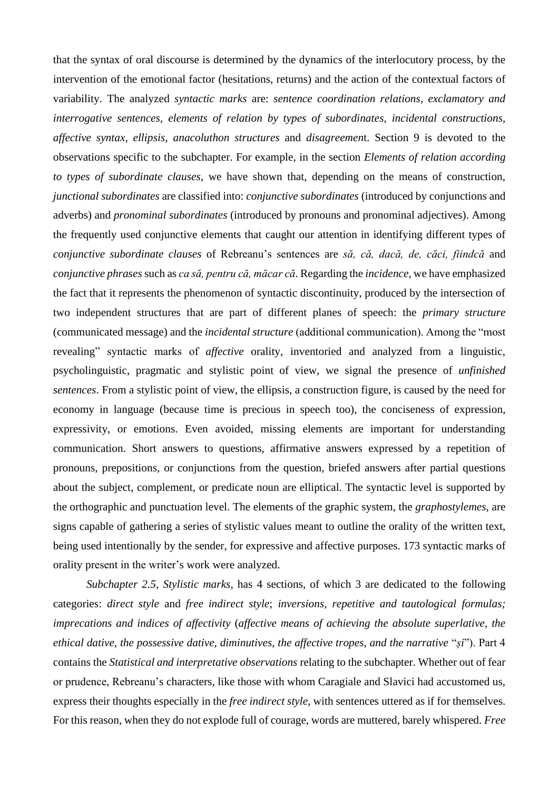that the syntax of oral discourse is determined by the dynamics of the interlocutory process, by the intervention of the emotional factor (hesitations, returns) and the action of the contextual factors of variability. The analyzed *syntactic marks* are: *sentence coordination relations, exclamatory and interrogative sentences, elements of relation by types of subordinates, incidental constructions, affective syntax, ellipsis, anacoluthon structures* and *disagreemen*t. Section 9 is devoted to the observations specific to the subchapter. For example, in the section *Elements of relation according to types of subordinate clauses*, we have shown that, depending on the means of construction, *junctional subordinates* are classified into: *conjunctive subordinates* (introduced by conjunctions and adverbs) and *pronominal subordinates* (introduced by pronouns and pronominal adjectives). Among the frequently used conjunctive elements that caught our attention in identifying different types of *conjunctive subordinate clauses* of Rebreanu's sentences are *să, că, dacă, de, căci, fiindcă* and *conjunctive phrases* such as *ca să, pentru că, măcar că*. Regarding the *incidence*, we have emphasized the fact that it represents the phenomenon of syntactic discontinuity, produced by the intersection of two independent structures that are part of different planes of speech: the *primary structure*  (communicated message) and the *incidental structure* (additional communication). Among the "most revealing" syntactic marks of *affective* orality, inventoried and analyzed from a linguistic, psycholinguistic, pragmatic and stylistic point of view, we signal the presence of *unfinished sentences*. From a stylistic point of view, the ellipsis, a construction figure, is caused by the need for economy in language (because time is precious in speech too), the conciseness of expression, expressivity, or emotions. Even avoided, missing elements are important for understanding communication. Short answers to questions, affirmative answers expressed by a repetition of pronouns, prepositions, or conjunctions from the question, briefed answers after partial questions about the subject, complement, or predicate noun are elliptical. The syntactic level is supported by the orthographic and punctuation level. The elements of the graphic system, the *graphostylemes*, are signs capable of gathering a series of stylistic values meant to outline the orality of the written text, being used intentionally by the sender, for expressive and affective purposes. 173 syntactic marks of orality present in the writer's work were analyzed.

*Subchapter 2.5, Stylistic marks*, has 4 sections, of which 3 are dedicated to the following categories: *direct style* and *free indirect style*; *inversions, repetitive and tautological formulas; imprecations and indices of affectivity* (*affective means of achieving the absolute superlative, the ethical dative, the possessive dative, diminutives, the affective tropes, and the narrative* "*și*"). Part 4 contains the *Statistical and interpretative observations* relating to the subchapter. Whether out of fear or prudence, Rebreanu's characters, like those with whom Caragiale and Slavici had accustomed us, express their thoughts especially in the *free indirect style*, with sentences uttered as if for themselves. For this reason, when they do not explode full of courage, words are muttered, barely whispered. *Free*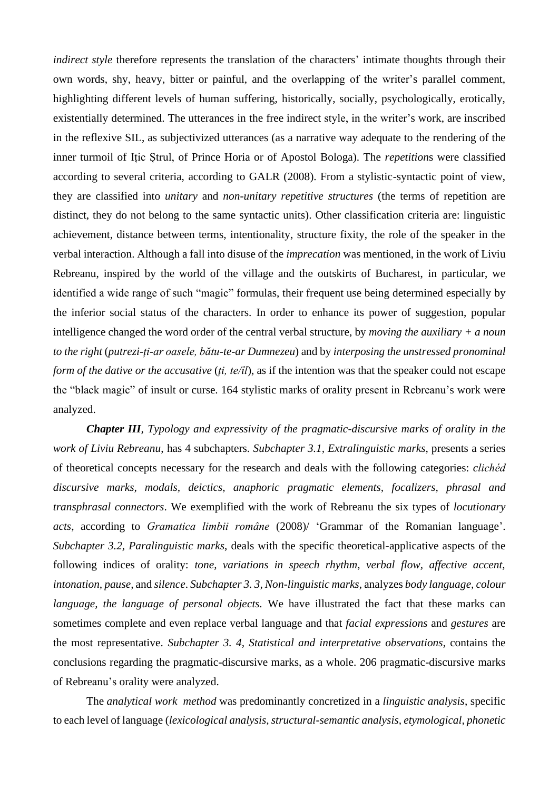*indirect style* therefore represents the translation of the characters' intimate thoughts through their own words, shy, heavy, bitter or painful, and the overlapping of the writer's parallel comment, highlighting different levels of human suffering, historically, socially, psychologically, erotically, existentially determined. The utterances in the free indirect style, in the writer's work, are inscribed in the reflexive SIL, as subjectivized utterances (as a narrative way adequate to the rendering of the inner turmoil of Ițic Ștrul, of Prince Horia or of Apostol Bologa). The *repetition*s were classified according to several criteria, according to GALR (2008). From a stylistic-syntactic point of view, they are classified into *unitary* and *non-unitary repetitive structures* (the terms of repetition are distinct, they do not belong to the same syntactic units). Other classification criteria are: linguistic achievement, distance between terms, intentionality, structure fixity, the role of the speaker in the verbal interaction. Although a fall into disuse of the *imprecation* was mentioned, in the work of Liviu Rebreanu, inspired by the world of the village and the outskirts of Bucharest, in particular, we identified a wide range of such "magic" formulas, their frequent use being determined especially by the inferior social status of the characters. In order to enhance its power of suggestion, popular intelligence changed the word order of the central verbal structure, by *moving the auxiliary + a noun to the right* (*putrezi-ți-ar oasele, bătu-te-ar Dumnezeu*) and by *interposing the unstressed pronominal form of the dative or the accusative* (*ți, te/îl*), as if the intention was that the speaker could not escape the "black magic" of insult or curse. 164 stylistic marks of orality present in Rebreanu's work were analyzed.

*Chapter III, Typology and expressivity of the pragmatic-discursive marks of orality in the work of Liviu Rebreanu*, has 4 subchapters. *Subchapter 3.1, Extralinguistic marks*, presents a series of theoretical concepts necessary for the research and deals with the following categories: *clichéd discursive marks, modals, deictics, anaphoric pragmatic elements, focalizers, phrasal and transphrasal connectors*. We exemplified with the work of Rebreanu the six types of *locutionary acts*, according to *Gramatica limbii române* (2008)/ 'Grammar of the Romanian language'. *Subchapter 3.2, Paralinguistic marks*, deals with the specific theoretical-applicative aspects of the following indices of orality: *tone, variations in speech rhythm, verbal flow, affective accent, intonation, pause,* and *silence*. *Subchapter 3. 3, Non-linguistic marks*, analyzes *body language, colour language, the language of personal objects.* We have illustrated the fact that these marks can sometimes complete and even replace verbal language and that *facial expressions* and *gestures* are the most representative. *Subchapter 3. 4, Statistical and interpretative observations*, contains the conclusions regarding the pragmatic-discursive marks, as a whole. 206 pragmatic-discursive marks of Rebreanu's orality were analyzed.

The *analytical work method* was predominantly concretized in a *linguistic analysis*, specific to each level of language (*lexicological analysis, structural-semantic analysis, etymological, phonetic*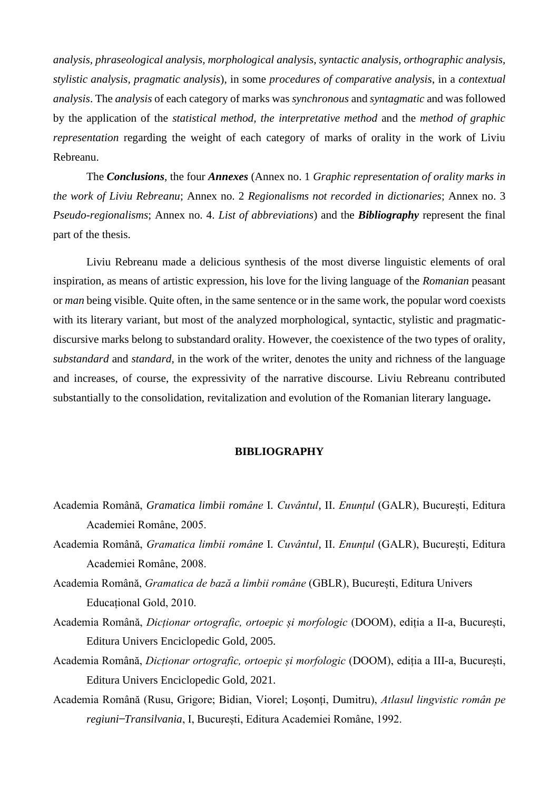*analysis, phraseological analysis, morphological analysis, syntactic analysis, orthographic analysis, stylistic analysis, pragmatic analysis*), in some *procedures of comparative analysis*, in a *contextual analysis*. The *analysis* of each category of marks was *synchronous* and *syntagmatic* and was followed by the application of the *statistical method, the interpretative method* and the *method of graphic representation* regarding the weight of each category of marks of orality in the work of Liviu Rebreanu.

The *Conclusions*, the four *Annexes* (Annex no. 1 *Graphic representation of orality marks in the work of Liviu Rebreanu*; Annex no. 2 *Regionalisms not recorded in dictionaries*; Annex no. 3 *Pseudo-regionalisms*; Annex no. 4. *List of abbreviations*) and the *Bibliography* represent the final part of the thesis.

Liviu Rebreanu made a delicious synthesis of the most diverse linguistic elements of oral inspiration, as means of artistic expression, his love for the living language of the *Romanian* peasant or *man* being visible. Quite often, in the same sentence or in the same work, the popular word coexists with its literary variant, but most of the analyzed morphological, syntactic, stylistic and pragmaticdiscursive marks belong to substandard orality. However, the coexistence of the two types of orality, *substandard* and *standard*, in the work of the writer, denotes the unity and richness of the language and increases, of course, the expressivity of the narrative discourse. Liviu Rebreanu contributed substantially to the consolidation, revitalization and evolution of the Romanian literary language**.**

#### **BIBLIOGRAPHY**

- Academia Română, *Gramatica limbii române* I. *Cuvântul*, II. *Enunțul* (GALR), București, Editura Academiei Române, 2005.
- Academia Română, *Gramatica limbii române* I. *Cuvântul*, II. *Enunțul* (GALR), București, Editura Academiei Române, 2008.
- Academia Română, *Gramatica de bază a limbii române* (GBLR), București, Editura Univers Educațional Gold, 2010.
- Academia Română, *Dicționar ortografic, ortoepic și morfologic* (DOOM), ediția a II-a, București, Editura Univers Enciclopedic Gold, 2005.
- Academia Română, *Dicționar ortografic, ortoepic și morfologic* (DOOM), ediția a III-a, București, Editura Univers Enciclopedic Gold, 2021.
- Academia Română (Rusu, Grigore; Bidian, Viorel; Loșonți, Dumitru), *Atlasul lingvistic român pe regiuni ̶Transilvania*, I, București, Editura Academiei Române, 1992.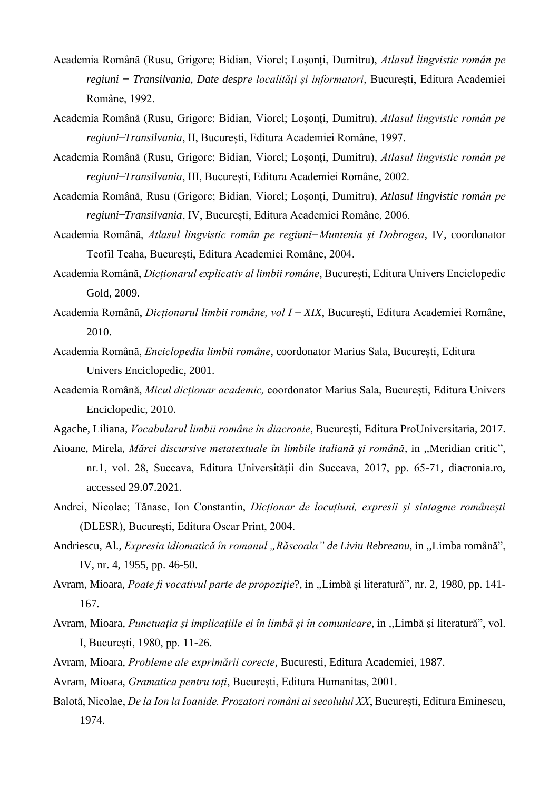- Academia Română (Rusu, Grigore; Bidian, Viorel; Loșonți, Dumitru), *Atlasul lingvistic român pe regiuni ̶ Transilvania, Date despre localități și informatori*, București, Editura Academiei Române, 1992.
- Academia Română (Rusu, Grigore; Bidian, Viorel; Loșonți, Dumitru), *Atlasul lingvistic român pe regiuni ̶Transilvania*, II, București, Editura Academiei Române, 1997.
- Academia Română (Rusu, Grigore; Bidian, Viorel; Loșonți, Dumitru), *Atlasul lingvistic român pe regiuni ̶Transilvania*, III, București, Editura Academiei Române, 2002.
- Academia Română, Rusu (Grigore; Bidian, Viorel; Loșonți, Dumitru), *Atlasul lingvistic român pe regiuni ̶Transilvania*, IV, București, Editura Academiei Române, 2006.
- Academia Română, *Atlasul lingvistic român pe regiuni ̶Muntenia și Dobrogea*, IV, coordonator Teofil Teaha, București, Editura Academiei Române, 2004.
- Academia Română, *Dicționarul explicativ al limbii române*, București, Editura Univers Enciclopedic Gold, 2009.
- Academia Română, *Dicționarul limbii române, vol I ̶ XIX*, București, Editura Academiei Române, 2010.
- Academia Română, *Enciclopedia limbii române*, coordonator Marius Sala, București, Editura Univers Enciclopedic, 2001.
- Academia Română, *Micul dicționar academic,* coordonator Marius Sala, București, Editura Univers Enciclopedic, 2010.
- Agache, Liliana, *Vocabularul limbii române în diacronie*, București, Editura ProUniversitaria, 2017.
- Aioane, Mirela, *Mărci discursive metatextuale în limbile italiană și română*, in ,,Meridian critic", nr.1, vol. 28, Suceava, Editura Universității din Suceava, 2017, pp. 65-71, diacronia.ro, accessed 29.07.2021.
- Andrei, Nicolae; Tănase, Ion Constantin, *Dicționar de locuțiuni, expresii și sintagme românești* (DLESR), București, Editura Oscar Print, 2004.
- Andriescu, Al., *Expresia idiomatică în romanul "Răscoala" de Liviu Rebreanu*, in ,,Limba română", IV, nr. 4, 1955, pp. 46-50.
- Avram, Mioara, *Poate fi vocativul parte de propoziție*?, in ,,Limbă și literatură", nr. 2, 1980, pp. 141- 167.
- Avram, Mioara, *Punctuația și implicațiile ei în limbă și în comunicare*, in ,,Limbă și literatură", vol. I, București, 1980, pp. 11-26.
- Avram, Mioara, *Probleme ale exprimării corecte*, Bucuresti, Editura Academiei, 1987.
- Avram, Mioara, *Gramatica pentru toți*, București, Editura Humanitas, 2001.
- Balotă, Nicolae, *De la Ion la Ioanide. Prozatori români ai secolului XX*, București, Editura Eminescu, 1974.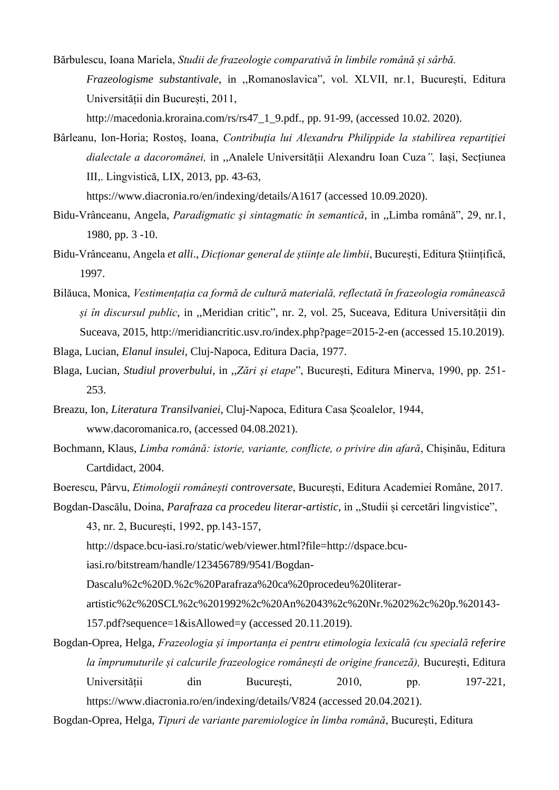- Bărbulescu, Ioana Mariela, *Studii de frazeologie comparativă în limbile română și sârbă. Frazeologisme substantivale,* in ,,Romanoslavica", vol. XLVII, nr.1, București, Editura Universității din București, 2011, [http://macedonia.kroraina.com/rs/rs47\\_1\\_9.pdf.](http://macedonia.kroraina.com/rs/rs47_1_9.pdf), pp. 91-99, (accessed 10.02. 2020).
- Bârleanu, Ion-Horia; Rostoș, Ioana, *Contribuţia lui Alexandru Philippide la stabilirea repartiţiei dialectale a dacoromânei,* in ,,Analele Universității Alexandru Ioan Cuza*",* Iași, Secțiunea III,. Lingvistică, LIX, 2013, pp. 43-63,

<https://www.diacronia.ro/en/indexing/details/A1617> (accessed 10.09.2020).

- Bidu-Vrânceanu, Angela, *Paradigmatic şi sintagmatic în semantică*, in ,,Limba română", 29, nr.1, 1980, pp. 3 -10.
- Bidu-Vrânceanu, Angela *et alli*., *Dicționar general de științe ale limbii*, București, Editura Științifică, 1997.
- Bilăuca, Monica, *Vestimențația ca formă de cultură materială, reflectată în frazeologia românească și în discursul public*, in ,,Meridian critic", nr. 2, vol. 25, Suceava, Editura Universității din Suceava, 2015,<http://meridiancritic.usv.ro/index.php?page=2015-2-en> (accessed 15.10.2019).

Blaga, Lucian, *Elanul insulei*, Cluj-Napoca, Editura Dacia, 1977.

- Blaga, Lucian, *Studiul proverbului*, in ,,*Zări şi etape*", București, Editura Minerva, 1990, pp. 251- 253.
- Breazu, Ion, *Literatura Transilvaniei*, Cluj-Napoca, Editura Casa Școalelor, 1944, [www.dacoromanica.ro,](http://www.dacoromanica.ro/) (accessed 04.08.2021).
- Bochmann, Klaus, *Limba română: istorie, variante, conflicte, o privire din afară*, Chișinău, Editura Cartdidact, 2004.
- Boerescu, Pârvu, *Etimologii românești controversate*, București, Editura Academiei Române, 2017.
- Bogdan-Dascălu, Doina, *Parafraza ca procedeu literar-artistic*, in ,,Studii și cercetări lingvistice",

43, nr. 2, București, 1992, pp.143-157,

[http://dspace.bcu-iasi.ro/static/web/viewer.html?file=http://dspace.bcu-](http://dspace.bcu-iasi.ro/static/web/viewer.html?file=http://dspace.bcu-iasi.ro/bitstream/handle/123456789/9541/Bogdan-Dascalu%2c%20D.%2c%20Parafraza%20ca%20procedeu%20literar-artistic%2c%20SCL%2c%201992%2c%20An%2043%2c%20Nr.%202%2c%20p.%20143-157.pdf?sequence=1&isAllowed=y)

[iasi.ro/bitstream/handle/123456789/9541/Bogdan-](http://dspace.bcu-iasi.ro/static/web/viewer.html?file=http://dspace.bcu-iasi.ro/bitstream/handle/123456789/9541/Bogdan-Dascalu%2c%20D.%2c%20Parafraza%20ca%20procedeu%20literar-artistic%2c%20SCL%2c%201992%2c%20An%2043%2c%20Nr.%202%2c%20p.%20143-157.pdf?sequence=1&isAllowed=y)

[Dascalu%2c%20D.%2c%20Parafraza%20ca%20procedeu%20literar-](http://dspace.bcu-iasi.ro/static/web/viewer.html?file=http://dspace.bcu-iasi.ro/bitstream/handle/123456789/9541/Bogdan-Dascalu%2c%20D.%2c%20Parafraza%20ca%20procedeu%20literar-artistic%2c%20SCL%2c%201992%2c%20An%2043%2c%20Nr.%202%2c%20p.%20143-157.pdf?sequence=1&isAllowed=y)

[artistic%2c%20SCL%2c%201992%2c%20An%2043%2c%20Nr.%202%2c%20p.%20143-](http://dspace.bcu-iasi.ro/static/web/viewer.html?file=http://dspace.bcu-iasi.ro/bitstream/handle/123456789/9541/Bogdan-Dascalu%2c%20D.%2c%20Parafraza%20ca%20procedeu%20literar-artistic%2c%20SCL%2c%201992%2c%20An%2043%2c%20Nr.%202%2c%20p.%20143-157.pdf?sequence=1&isAllowed=y)

[157.pdf?sequence=1&isAllowed=y](http://dspace.bcu-iasi.ro/static/web/viewer.html?file=http://dspace.bcu-iasi.ro/bitstream/handle/123456789/9541/Bogdan-Dascalu%2c%20D.%2c%20Parafraza%20ca%20procedeu%20literar-artistic%2c%20SCL%2c%201992%2c%20An%2043%2c%20Nr.%202%2c%20p.%20143-157.pdf?sequence=1&isAllowed=y) (accessed 20.11.2019).

Bogdan-Oprea, Helga, *Frazeologia și importanța ei pentru etimologia lexicală (cu specială referire la împrumuturile și calcurile frazeologice românești de origine franceză),* București, Editura Universității din București, 2010, pp. 197-221, https://www.diacronia.ro/en/indexing/details/V824 (accessed 20.04.2021).

Bogdan-Oprea, Helga, *Tipuri de variante paremiologice în limba română*, București, Editura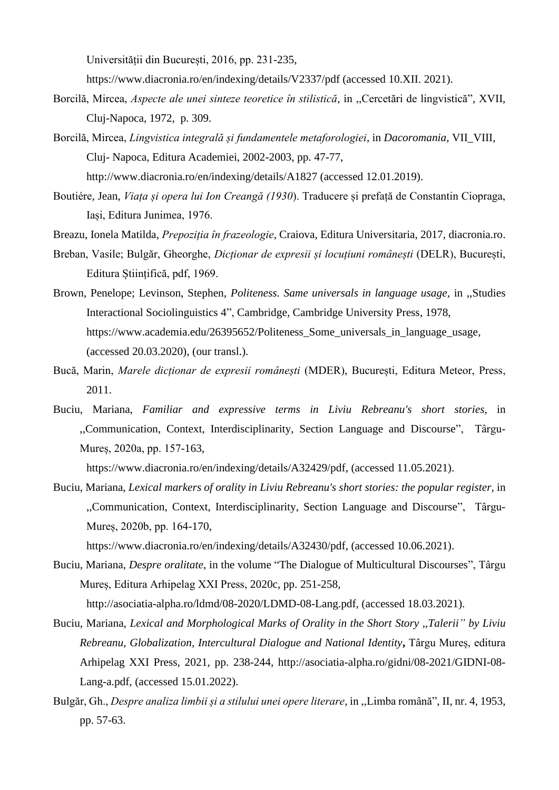Universității din București, 2016, pp. 231-235,

https://www.diacronia.ro/en/indexing/details/V2337/pdf (accessed 10.XII. 2021).

- Borcilă, Mircea, *Aspecte ale unei sinteze teoretice în stilistică*, in ,,Cercetări de lingvistică", XVII, Cluj-Napoca, 1972, p. 309.
- Borcilă, Mircea, *Lingvistica integrală și fundamentele metaforologiei*, in *Dacoromania*, VII\_VIII, Cluj- Napoca, Editura Academiei, 2002-2003, pp. 47-77,

<http://www.diacronia.ro/en/indexing/details/A1827> (accessed 12.01.2019).

- Boutiére*,* Jean, *Viața și opera lui Ion Creangă (1930*). Traducere și prefață de Constantin Ciopraga, Iași, Editura Junimea, 1976.
- Breazu, Ionela Matilda, *Prepoziția în frazeologie*, Craiova, Editura Universitaria, 2017, diacronia.ro.
- Breban, Vasile; Bulgăr, Gheorghe, *Dicționar de expresii și locuțiuni românești* (DELR), București, Editura Științifică, pdf, 1969.
- Brown, Penelope; Levinson, Stephen, *Politeness. Same universals in language usage*, in ,,Studies Interactional Sociolinguistics 4", Cambridge, Cambridge University Press, 1978, [https://www.academia.edu/26395652/Politeness\\_Some\\_universals\\_in\\_language\\_usage,](https://www.academia.edu/26395652/Politeness_Some_universals_in_language_usage) (accessed 20.03.2020), (our transl.).
- Bucă, Marin, *Marele dicționar de expresii românești* (MDER), București, Editura Meteor, Press, 2011.
- Buciu, Mariana, *Familiar and expressive terms in Liviu Rebreanu's short stories,* in ,,Communication, Context, Interdisciplinarity, Section Language and Discourse", Târgu-Mureș, 2020a, pp. 157-163,

[https://www.diacronia.ro/en/indexing/details/A32429/pdf,](https://www.diacronia.ro/en/indexing/details/A32429/pdf) (accessed 11.05.2021).

Buciu, Mariana, *Lexical markers of orality in Liviu Rebreanu's short stories: the popular register,* in ,,Communication, Context, Interdisciplinarity, Section Language and Discourse", Târgu-Mureș, 2020b, pp. 164-170,

[https://www.diacronia.ro/en/indexing/details/A32430/pdf,](https://www.diacronia.ro/en/indexing/details/A32430/pdf) (accessed 10.06.2021).

Buciu, Mariana, *Despre oralitate*, in the volume "The Dialogue of Multicultural Discourses", Târgu Mureș, Editura Arhipelag XXI Press, 2020c, pp. 251-258,

[http://asociatia-alpha.ro/ldmd/08-2020/LDMD-08-Lang.pdf,](http://asociatia-alpha.ro/ldmd/08-2020/LDMD-08-Lang.pdf) (accessed 18.03.2021).

- Buciu, Mariana, *Lexical and Morphological Marks of Orality in the Short Story ,,Talerii" by Liviu Rebreanu, Globalization, Intercultural Dialogue and National Identity***,** Târgu Mureș, editura Arhipelag XXI Press, 2021, pp. 238-244, [http://asociatia-alpha.ro/gidni/08-2021/GIDNI-08-](http://asociatia-alpha.ro/gidni/08-2021/GIDNI-08-Lang-a.pdf) [Lang-a.pdf,](http://asociatia-alpha.ro/gidni/08-2021/GIDNI-08-Lang-a.pdf) (accessed 15.01.2022).
- Bulgăr, Gh., *Despre analiza limbii și a stilului unei opere literare*, in ,,Limba română", II, nr. 4, 1953, pp. 57-63.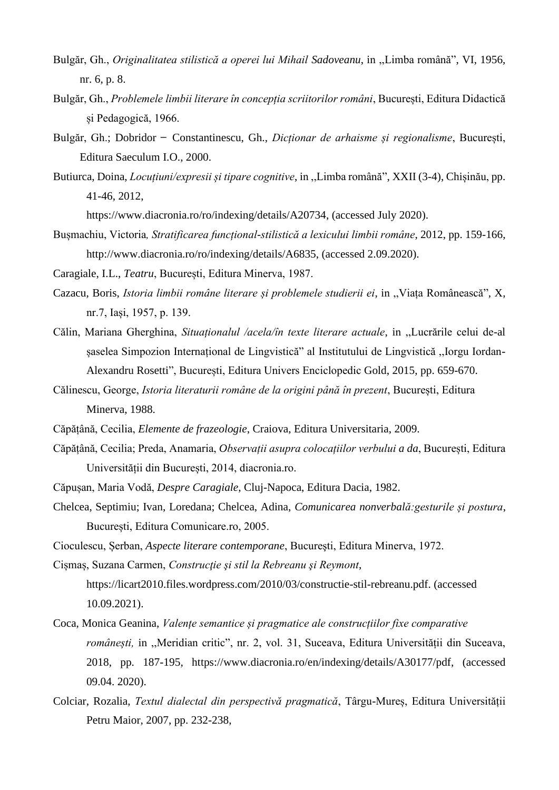- Bulgăr, Gh., *Originalitatea stilistică a operei lui Mihail Sadoveanu*, in ,,Limba română", VI, 1956, nr. 6, p. 8.
- Bulgăr, Gh., *Problemele limbii literare în concepția scriitorilor români*, București, Editura Didactică și Pedagogică, 1966.
- Bulgăr, Gh.; Dobridor ̶ Constantinescu, Gh., *Dicționar de arhaisme și regionalisme*, București, Editura Saeculum I.O., 2000.
- Butiurca, Doina, *Locuțiuni/expresii și tipare cognitive*, in ,,Limba română", XXII (3-4), Chișinău, pp. 41-46, 2012,

[https://www.diacronia.ro/ro/indexing/details/A20734,](https://www.diacronia.ro/ro/indexing/details/A20734) (accessed July 2020).

- Bușmachiu, Victoria*, Stratificarea funcțional-stilistică a lexicului limbii române*, 2012, pp. 159-166, http://www.diacronia.ro/ro/indexing/details/A6835, (accessed 2.09.2020).
- Caragiale, I.L., *Teatru*, București, Editura Minerva, 1987.
- Cazacu, Boris, *Istoria limbii române literare și problemele studierii ei*, in ,,Viața Românească", X, nr.7, Iași, 1957, p. 139.
- Călin, Mariana Gherghina, *Situaționalul /acela/în texte literare actuale*, in ,,Lucrările celui de-al șaselea Simpozion Internațional de Lingvistică" al Institutului de Lingvistică ,,Iorgu Iordan-Alexandru Rosetti", București, Editura Univers Enciclopedic Gold, 2015, pp. 659-670.
- Călinescu, George, *Istoria literaturii române de la origini până în prezent*, București, Editura Minerva, 1988.
- Căpățână, Cecilia, *Elemente de frazeologie*, Craiova, Editura Universitaria, 2009.
- Căpățână, Cecilia; Preda, Anamaria, *Observații asupra colocațiilor verbului a da*, București, Editura Universității din București, 2014, diacronia.ro.
- Căpușan, Maria Vodă, *Despre Caragiale*, Cluj-Napoca, Editura Dacia, 1982.
- Chelcea, Septimiu; Ivan, Loredana; Chelcea, Adina, *Comunicarea nonverbală:gesturile și postura*, București, Editura Comunicare.ro, 2005.
- Cioculescu, Șerban, *Aspecte literare contemporane*, Bucureşti, Editura Minerva, 1972.
- Cișmaș, Suzana Carmen, *Construcţie şi stil la Rebreanu şi Reymont*,
	- [https://licart2010.files.wordpress.com/2010/03/constructie-stil-rebreanu.pdf.](https://licart2010.files.wordpress.com/2010/03/constructie-stil-rebreanu.pdf) (accessed 10.09.2021).
- Coca, Monica Geanina, *Valențe semantice și pragmatice ale construcțiilor fixe comparative românești,* in ,,Meridian critic", nr. 2, vol. 31, Suceava, Editura Universității din Suceava, 2018, pp. 187-195, [https://www.diacronia.ro/en/indexing/details/A30177/pdf,](https://www.diacronia.ro/en/indexing/details/A30177/pdf) (accessed 09.04. 2020).
- Colciar, Rozalia, *Textul dialectal din perspectivă pragmatică*, Târgu-Mureș, Editura Universității Petru Maior, 2007, pp. 232-238,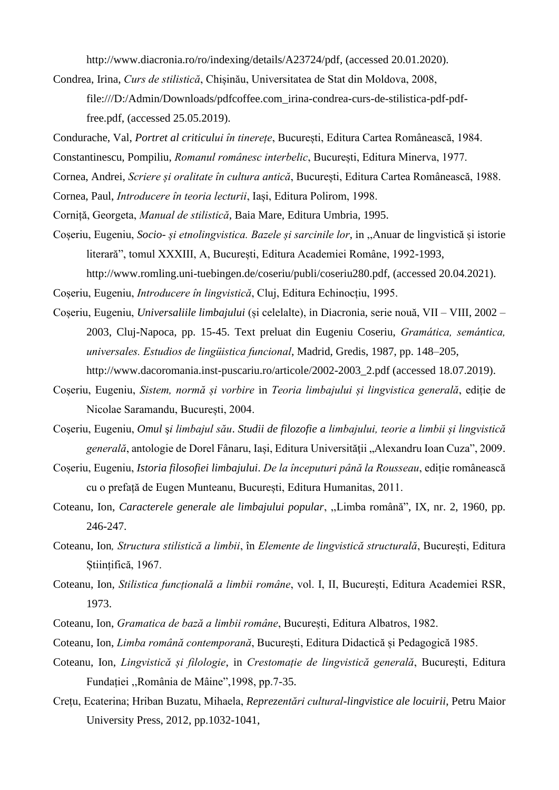[http://www.diacronia.ro/ro/indexing/details/A23724/pdf,](http://www.diacronia.ro/ro/indexing/details/A23724/pdf) (accessed 20.01.2020).

- Condrea, Irina, *Curs de stilistică*, Chișinău, Universitatea de Stat din Moldova, 2008, [file:///D:/Admin/Downloads/pdfcoffee.com\\_irina-condrea-curs-de-stilistica-pdf-pdf](file:///D:/Admin/Downloads/pdfcoffee.com_irina-condrea-curs-de-stilistica-pdf-pdf-free.pdf)[free.pdf,](file:///D:/Admin/Downloads/pdfcoffee.com_irina-condrea-curs-de-stilistica-pdf-pdf-free.pdf) (accessed 25.05.2019).
- Condurache, Val, *Portret al criticului în tinerețe*, București, Editura Cartea Românească, 1984.
- Constantinescu, Pompiliu, *Romanul românesc interbelic*, București, Editura Minerva, 1977.
- Cornea, Andrei, *Scriere și oralitate în cultura antică*, București, Editura Cartea Românească, 1988.
- Cornea, Paul, *Introducere în teoria lecturii*, Iași, Editura Polirom, 1998.
- Corniță, Georgeta, *Manual de stilistică*, Baia Mare, Editura Umbria, 1995.
- Coșeriu, Eugeniu, *Socio- și etnolingvistica. Bazele și sarcinile lor*, in ,,Anuar de lingvistică și istorie literară", tomul XXXIII, A, București, Editura Academiei Române, 1992-1993,
	- [http://www.romling.uni-tuebingen.de/coseriu/publi/coseriu280.pdf,](http://www.romling.uni-tuebingen.de/coseriu/publi/coseriu280.pdf) (accessed 20.04.2021).

Coșeriu, Eugeniu, *Introducere în lingvistică*, Cluj, Editura Echinocțiu, 1995.

- Coșeriu, Eugeniu, *Universaliile limbajului* (și celelalte), in Diacronia, serie nouă, VII VIII, 2002 2003, Cluj-Napoca, pp. 15-45. Text preluat din Eugeniu Coseriu, *Gramática, semántica, universales. Estudios de lingüistica funcional*, Madrid, Gredis, 1987, pp. 148–205, [http://www.dacoromania.inst-puscariu.ro/articole/2002-2003\\_2.pdf](http://www.dacoromania.inst-puscariu.ro/articole/2002-2003_2.pdf) (accessed 18.07.2019).
- Coșeriu, Eugeniu, *Sistem, normă și vorbire* in *Teoria limbajului și lingvistica generală*, ediție de Nicolae Saramandu, București, 2004.
- Coşeriu, Eugeniu, *Omul* ş*i limbajul său*. *Studii de filozofie a limbajului, teorie a limbii și lingvistică generală*, antologie de Dorel Fânaru, Iași, Editura Universităţii "Alexandru Ioan Cuza", 2009.
- Coșeriu, Eugeniu, *Istoria filosofiei limbajului*. *De la începuturi până la Rousseau*, ediție românească cu o prefață de Eugen Munteanu, București, Editura Humanitas, 2011.
- Coteanu, Ion, *Caracterele generale ale limbajului popular*, ,,Limba română", IX, nr. 2, 1960, pp. 246-247.
- Coteanu, Ion*, Structura stilistică a limbii*, în *Elemente de lingvistică structurală*, București, Editura Stiințifică, 1967.
- Coteanu, Ion, *Stilistica funcțională a limbii române*, vol. I, II, București, Editura Academiei RSR, 1973.
- Coteanu, Ion, *Gramatica de bază a limbii române*, București, Editura Albatros, 1982.
- Coteanu, Ion, *Limba română contemporană*, București, Editura Didactică și Pedagogică 1985.
- Coteanu, Ion, *Lingvistică și filologie*, in *Crestomație de lingvistică generală*, București, Editura Fundației ,,România de Mâine",1998, pp.7-35.
- Crețu, Ecaterina; Hriban Buzatu, Mihaela, *Reprezentări cultural-lingvistice ale locuirii*, Petru Maior University Press, 2012, pp.1032-1041,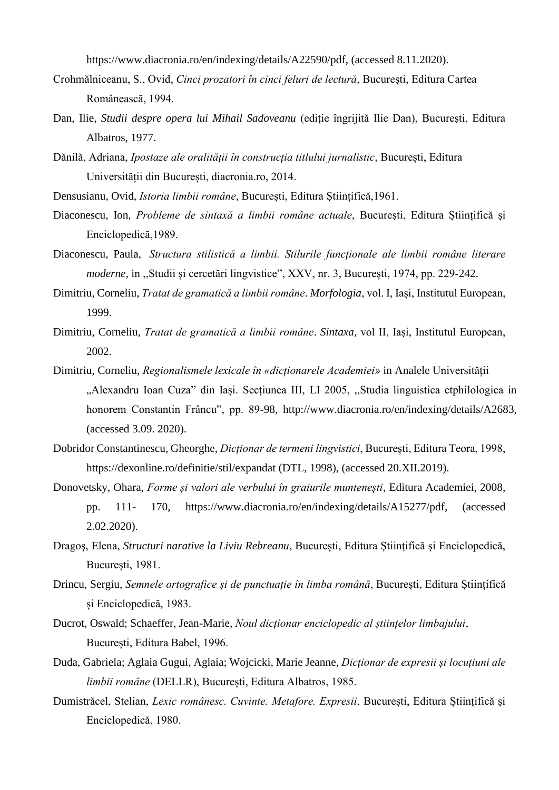[https://www.diacronia.ro/en/indexing/details/A22590/pdf,](https://www.diacronia.ro/en/indexing/details/A22590/pdf) (accessed 8.11.2020).

- Crohmălniceanu, S., Ovid, *Cinci prozatori în cinci feluri de lectură*, București, Editura Cartea Românească, 1994.
- Dan, Ilie, *Studii despre opera lui Mihail Sadoveanu* (ediție îngrijită Ilie Dan), București, Editura Albatros, 1977.
- Dănilă, Adriana, *Ipostaze ale oralității în construcția titlului jurnalistic*, București, Editura Universității din București, diacronia.ro, 2014.
- Densusianu, Ovid, *Istoria limbii române*, București, Editura Științifică,1961.
- Diaconescu, Ion, *Probleme de sintaxă a limbii române actuale*, București, Editura Științifică și Enciclopedică,1989.
- Diaconescu, Paula, *Structura stilistică a limbii. Stilurile funcţionale ale limbii române literare moderne,* in ,,Studii și cercetări lingvistice", XXV, nr. 3, București, 1974, pp. 229-242.
- Dimitriu, Corneliu, *Tratat de gramatică a limbii române*. *Morfologia*, vol. I, Iași, Institutul European, 1999.
- Dimitriu, Corneliu, *Tratat de gramatică a limbii române*. *Sintaxa,* vol II, Iași, Institutul European, 2002.
- Dimitriu, Corneliu, *Regionalismele lexicale în «dicționarele Academiei»* in Analele Universității "Alexandru Ioan Cuza" din Iași. Secțiunea III, LI 2005, "Studia linguistica etphilologica in honorem Constantin Frâncu", pp. 89-98, [http://www.diacronia.ro/en/indexing/details/A2683,](http://www.diacronia.ro/en/indexing/details/A2683) (accessed 3.09. 2020).
- Dobridor Constantinescu, Gheorghe, *Dicționar de termeni lingvistici*, București, Editura Teora, 1998, <https://dexonline.ro/definitie/stil/expandat> (DTL, 1998), (accessed 20.XII.2019).
- Donovetsky, Ohara, *Forme și valori ale verbului în graiurile muntenești*, Editura Academiei, 2008, pp. 111- 170, [https://www.diacronia.ro/en/indexing/details/A15277/pdf,](https://www.diacronia.ro/en/indexing/details/A15277/pdf) (accessed 2.02.2020).
- Dragoş, Elena, *Structuri narative la Liviu Rebreanu*, București, Editura Ştiinţifică şi Enciclopedică, Bucureşti, 1981.
- Drincu, Sergiu, *Semnele ortografice și de punctuație în limba română*, București, Editura Științifică și Enciclopedică, 1983.
- Ducrot, Oswald; Schaeffer, Jean-Marie, *Noul dicționar enciclopedic al științelor limbajului*, București, Editura Babel, 1996.
- Duda, Gabriela; Aglaia Gugui, Aglaia; Wojcicki, Marie Jeanne, *Dicționar de expresii și locuțiuni ale limbii române* (DELLR), București, Editura Albatros, 1985.
- Dumistrăcel, Stelian, *Lexic românesc. Cuvinte. Metafore. Expresii*, București, Editura Științifică și Enciclopedică, 1980.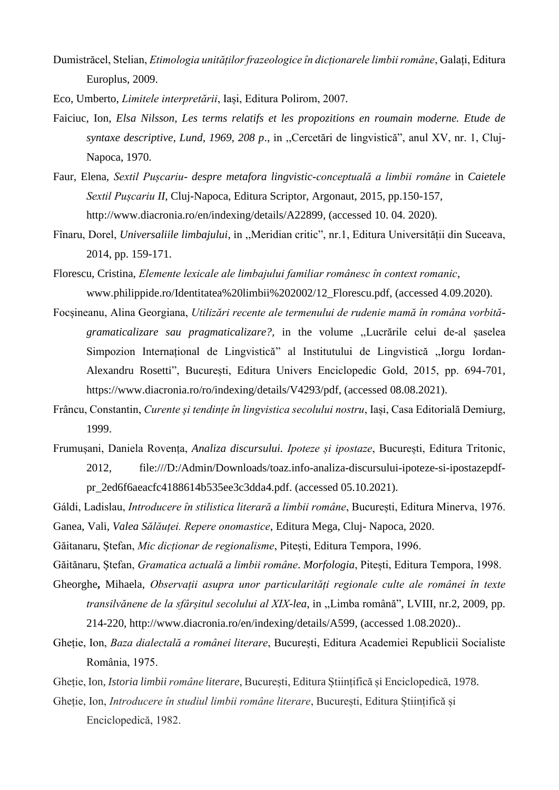Dumistrăcel, Stelian, *Etimologia unităților frazeologice în dicționarele limbii române*, Galați, Editura Europlus, 2009.

Eco, Umberto, *Limitele interpretării*, Iași, Editura Polirom, 2007*.*

- Faiciuc, Ion, *Elsa Nilsson, Les terms relatifs et les propozitions en roumain moderne. Etude de syntaxe descriptive, Lund, 1969, 208 p*., in ,,Cercetări de lingvistică", anul XV, nr. 1, Cluj-Napoca, 1970.
- Faur, Elena, *Sextil Pușcariu- despre metafora lingvistic-conceptuală a limbii române* in *Caietele Sextil Pușcariu II*, Cluj-Napoca, Editura Scriptor, Argonaut, 2015, pp.150-157, [http://www.diacronia.ro/en/indexing/details/A22899,](http://www.diacronia.ro/en/indexing/details/A22899) (accessed 10. 04. 2020).
- Fînaru, Dorel, *Universaliile limbajului*, in ,,Meridian critic", nr.1, Editura Universității din Suceava, 2014, pp. 159-171.
- Florescu, Cristina, *Elemente lexicale ale limbajului familiar românesc în context romanic*, [www.philippide.ro/Identitatea%20limbii%202002/12\\_Florescu.pdf,](http://www.philippide.ro/Identitatea%20limbii%202002/12_Florescu.pdf) (accessed 4.09.2020).
- Focșineanu, Alina Georgiana, *Utilizări recente ale termenului de rudenie mamă în româna vorbităgramaticalizare sau pragmaticalizare?,* in the volume ,,Lucrările celui de-al șaselea Simpozion Internațional de Lingvistică" al Institutului de Lingvistică ,,Iorgu Iordan-Alexandru Rosetti", București, Editura Univers Enciclopedic Gold, 2015, pp. 694-701, [https://www.diacronia.ro/ro/indexing/details/V4293/pdf,](https://www.diacronia.ro/ro/indexing/details/V4293/pdf) (accessed 08.08.2021).
- Frâncu, Constantin, *Curente și tendințe în lingvistica secolului nostru*, Iași, Casa Editorială Demiurg, 1999.
- Frumușani, Daniela Rovența, *Analiza discursului. Ipoteze și ipostaze*, București, Editura Tritonic, 2012, [file:///D:/Admin/Downloads/toaz.info-analiza-discursului-ipoteze-si-ipostazepdf](file:///D:/Admin/Downloads/toaz.info-analiza-discursului-ipoteze-si-ipostazepdf-pr_2ed6f6aeacfc4188614b535ee3c3dda4.pdf)[pr\\_2ed6f6aeacfc4188614b535ee3c3dda4.pdf.](file:///D:/Admin/Downloads/toaz.info-analiza-discursului-ipoteze-si-ipostazepdf-pr_2ed6f6aeacfc4188614b535ee3c3dda4.pdf) (accessed 05.10.2021).
- Gáldi, Ladislau, *Introducere în stilistica literară a limbii române*, București, Editura Minerva, 1976. Ganea, Vali, *Valea Sălăuței. Repere onomastice*, Editura Mega, Cluj- Napoca, 2020.
- Găitanaru, Ștefan, *Mic dicționar de regionalisme*, Pitești, Editura Tempora, 1996.

Găitănaru, Ștefan, *Gramatica actuală a limbii române*. *Morfologia*, Pitești, Editura Tempora, 1998.

- Gheorghe**,** Mihaela, *Observații asupra unor particularități regionale culte ale românei în texte transilvănene de la sfârșitul secolului al XIX-lea*, in ,,Limba română", LVIII, nr.2, 2009, pp. 214-220, [http://www.diacronia.ro/en/indexing/details/A599,](http://www.diacronia.ro/en/indexing/details/A599) (accessed 1.08.2020)..
- Gheție, Ion, *Baza dialectală a românei literare*, București, Editura Academiei Republicii Socialiste România, 1975.

Gheție, Ion, *Istoria limbii române literare*, București, Editura Științifică și Enciclopedică, 1978.

Gheție, Ion, *Introducere în studiul limbii române literare*, București, Editura Științifică și Enciclopedică, 1982.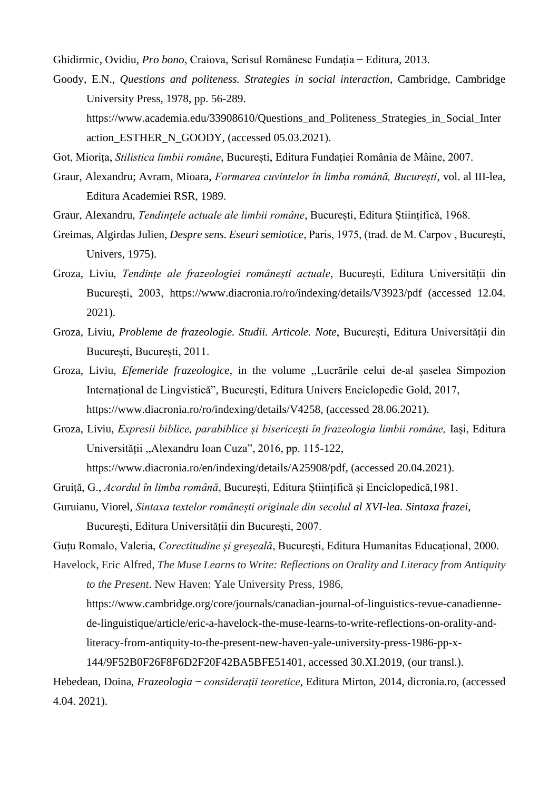Ghidirmic, Ovidiu, *Pro bono*, Craiova, Scrisul Românesc Fundația ̶ Editura, 2013.

Goody, E.N., *Questions and politeness. Strategies in social interaction*, Cambridge, Cambridge University Press, 1978, pp. 56-289. https://www.academia.edu/33908610/Questions and Politeness Strategies in Social Inter [action\\_ESTHER\\_N\\_GOODY,](https://www.academia.edu/33908610/Questions_and_Politeness_Strategies_in_Social_Interaction_ESTHER_N_GOODY) (accessed 05.03.2021).

Got, Miorița, *Stilistica limbii române*, București, Editura Fundației România de Mâine, 2007.

- Graur, Alexandru; Avram, Mioara, *Formarea cuvintelor în limba română, București*, vol. al III-lea, Editura Academiei RSR, 1989.
- Graur, Alexandru, *Tendințele actuale ale limbii române*, București, Editura Științifică, 1968.
- Greimas, Algirdas Julien, *Despre sens. Eseuri semiotice*, Paris, 1975, (trad. de M. Carpov , București, Univers, 1975).
- Groza, Liviu, *Tendințe ale frazeologiei românești actuale*, București, Editura Universității din București, 2003, https://www.diacronia.ro/ro/indexing/details/V3923/pdf (accessed 12.04. 2021).
- Groza, Liviu, *Probleme de frazeologie. Studii. Articole. Note*, București, Editura Universității din București, București, 2011.
- Groza, Liviu, *Efemeride frazeologice*, in the volume ,,Lucrările celui de-al șaselea Simpozion Internațional de Lingvistică"*,* București, Editura Univers Enciclopedic Gold, 2017, [https://www.diacronia.ro/ro/indexing/details/V4258,](https://www.diacronia.ro/ro/indexing/details/V4258) (accessed 28.06.2021).
- Groza, Liviu, *Expresii biblice, parabiblice și bisericești în frazeologia limbii române,* Iași, Editura Universității ,,Alexandru Ioan Cuza", 2016, pp. 115-122,

https://www.diacronia.ro/en/indexing/details/A25908/pdf, (accessed 20.04.2021).

- Gruiță, G., *Acordul în limba română*, București, Editura Științifică și Enciclopedică,1981.
- Guruianu, Viorel, *Sintaxa textelor românești originale din secolul al XVI-lea. Sintaxa frazei*, București, Editura Universității din București, 2007.

Guțu Romalo, Valeria, *Corectitudine și greșeală*, București, Editura Humanitas Educațional, 2000.

Havelock, Eric Alfred, *The Muse Learns to Write: Reflections on Orality and Literacy from Antiquity* 

*to the Present*. New Haven: Yale University Press, 1986,

[https://www.cambridge.org/core/journals/canadian-journal-of-linguistics-revue-canadienne-](https://www.cambridge.org/core/journals/canadian-journal-of-linguistics-revue-canadienne-de-linguistique/article/eric-a-havelock-the-muse-learns-to-write-reflections-on-orality-and-literacy-from-antiquity-to-the-present-new-haven-yale-university-press-1986-pp-x-144/9F52B0F26F8F6D2F20F42BA5BFE51401)

[de-linguistique/article/eric-a-havelock-the-muse-learns-to-write-reflections-on-orality-and-](https://www.cambridge.org/core/journals/canadian-journal-of-linguistics-revue-canadienne-de-linguistique/article/eric-a-havelock-the-muse-learns-to-write-reflections-on-orality-and-literacy-from-antiquity-to-the-present-new-haven-yale-university-press-1986-pp-x-144/9F52B0F26F8F6D2F20F42BA5BFE51401)

[literacy-from-antiquity-to-the-present-new-haven-yale-university-press-1986-pp-x-](https://www.cambridge.org/core/journals/canadian-journal-of-linguistics-revue-canadienne-de-linguistique/article/eric-a-havelock-the-muse-learns-to-write-reflections-on-orality-and-literacy-from-antiquity-to-the-present-new-haven-yale-university-press-1986-pp-x-144/9F52B0F26F8F6D2F20F42BA5BFE51401)

[144/9F52B0F26F8F6D2F20F42BA5BFE51401,](https://www.cambridge.org/core/journals/canadian-journal-of-linguistics-revue-canadienne-de-linguistique/article/eric-a-havelock-the-muse-learns-to-write-reflections-on-orality-and-literacy-from-antiquity-to-the-present-new-haven-yale-university-press-1986-pp-x-144/9F52B0F26F8F6D2F20F42BA5BFE51401) accessed 30.XI.2019, (our transl.).

Hebedean, Doina, *Frazeologia ̶ considerații teoretice*, Editura Mirton, 2014, dicronia.ro, (accessed 4.04. 2021).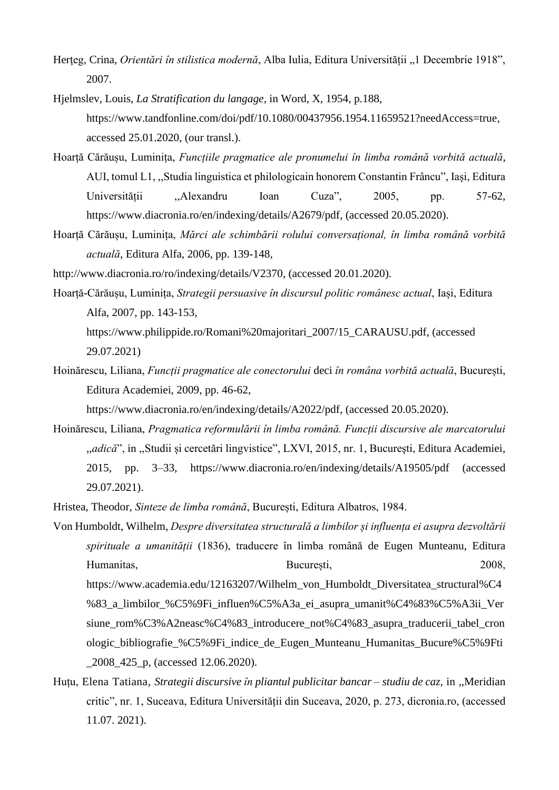- Herteg, Crina, *Orientări în stilistica modernă*, Alba Iulia, Editura Universității "1 Decembrie 1918", 2007.
- Hjelmslev, Louis, *La Stratification du langage*, in Word, X, 1954, p.188, [https://www.tandfonline.com/doi/pdf/10.1080/00437956.1954.11659521?needAccess=true,](https://www.tandfonline.com/doi/pdf/10.1080/00437956.1954.11659521?needAccess=true) accessed 25.01.2020, (our transl.).
- Hoarță Cărăușu, Luminița, *Funcțiile pragmatice ale pronumelui în limba română vorbită actuală*, AUI, tomul L1, ,,Studia linguistica et philologicain honorem Constantin Frâncu", Iași, Editura Universității ,,Alexandru Ioan Cuza", 2005, pp. 57-62, [https://www.diacronia.ro/en/indexing/details/A2679/pdf,](https://www.diacronia.ro/en/indexing/details/A2679/pdf) (accessed 20.05.2020).
- Hoarță Cărăușu, Luminița, *Mărci ale schimbării rolului conversațional, în limba română vorbită actuală*, Editura Alfa, 2006, pp. 139-148,
- <http://www.diacronia.ro/ro/indexing/details/V2370>*,* (accessed 20.01.2020).
- Hoarță-Cărăușu, Luminița, *Strategii persuasive în discursul politic românesc actual*, Iași, Editura Alfa, 2007, pp. 143-153, [https://www.philippide.ro/Romani%20majoritari\\_2007/15\\_CARAUSU.pdf,](https://www.philippide.ro/Romani%20majoritari_2007/15_CARAUSU.pdf) (accessed 29.07.2021)
- Hoinărescu, Liliana, *Funcții pragmatice ale conectorului* deci *în româna vorbită actuală*, București, Editura Academiei, 2009, pp. 46-62,

[https://www.diacronia.ro/en/indexing/details/A2022/pdf,](https://www.diacronia.ro/en/indexing/details/A2022/pdf) (accessed 20.05.2020).

- Hoinărescu, Liliana, *Pragmatica reformulării în limba română. Funcții discursive ale marcatorului*  ,,*adică*", in ,,Studii și cercetări lingvistice", LXVI, 2015, nr. 1, Bucureşti, Editura Academiei, 2015, pp. 3–33, https://www.diacronia.ro/en/indexing/details/A19505/pdf (accessed 29.07.2021).
- Hristea, Theodor, *Sinteze de limba română*, București, Editura Albatros, 1984.
- Von Humboldt, Wilhelm, *Despre diversitatea structurală a limbilor și influența ei asupra dezvoltării spirituale a umanității* (1836), traducere în limba română de Eugen Munteanu, Editura Humanitas, București, 2008, [https://www.academia.edu/12163207/Wilhelm\\_von\\_Humboldt\\_Diversitatea\\_structural%C4](https://www.academia.edu/12163207/Wilhelm_von_Humboldt_Diversitatea_structural%C4%83_a_limbilor_%C5%9Fi_influen%C5%A3a_ei_asupra_umanit%C4%83%C5%A3ii_Versiune_rom%C3%A2neasc%C4%83_introducere_not%C4%83_asupra_traducerii_tabel_cronologic_bibliografie_%C5%9Fi_indice_de_Eugen_Munteanu_Humanitas_Bucure%C5%9Fti_2008_425_p) %83 a limbilor %C5%9Fi\_influen%C5%A3a\_ei\_asupra\_umanit%C4%83%C5%A3ii\_Ver [siune\\_rom%C3%A2neasc%C4%83\\_introducere\\_not%C4%83\\_asupra\\_traducerii\\_tabel\\_cron](https://www.academia.edu/12163207/Wilhelm_von_Humboldt_Diversitatea_structural%C4%83_a_limbilor_%C5%9Fi_influen%C5%A3a_ei_asupra_umanit%C4%83%C5%A3ii_Versiune_rom%C3%A2neasc%C4%83_introducere_not%C4%83_asupra_traducerii_tabel_cronologic_bibliografie_%C5%9Fi_indice_de_Eugen_Munteanu_Humanitas_Bucure%C5%9Fti_2008_425_p) [ologic\\_bibliografie\\_%C5%9Fi\\_indice\\_de\\_Eugen\\_Munteanu\\_Humanitas\\_Bucure%C5%9Fti](https://www.academia.edu/12163207/Wilhelm_von_Humboldt_Diversitatea_structural%C4%83_a_limbilor_%C5%9Fi_influen%C5%A3a_ei_asupra_umanit%C4%83%C5%A3ii_Versiune_rom%C3%A2neasc%C4%83_introducere_not%C4%83_asupra_traducerii_tabel_cronologic_bibliografie_%C5%9Fi_indice_de_Eugen_Munteanu_Humanitas_Bucure%C5%9Fti_2008_425_p) [\\_2008\\_425\\_p,](https://www.academia.edu/12163207/Wilhelm_von_Humboldt_Diversitatea_structural%C4%83_a_limbilor_%C5%9Fi_influen%C5%A3a_ei_asupra_umanit%C4%83%C5%A3ii_Versiune_rom%C3%A2neasc%C4%83_introducere_not%C4%83_asupra_traducerii_tabel_cronologic_bibliografie_%C5%9Fi_indice_de_Eugen_Munteanu_Humanitas_Bucure%C5%9Fti_2008_425_p) (accessed 12.06.2020).
- Huțu, Elena Tatiana, *Strategii discursive în pliantul publicitar bancar – studiu de caz*, in ,,Meridian critic", nr. 1, Suceava, Editura Universității din Suceava, 2020, p. 273, dicronia.ro, (accessed 11.07. 2021).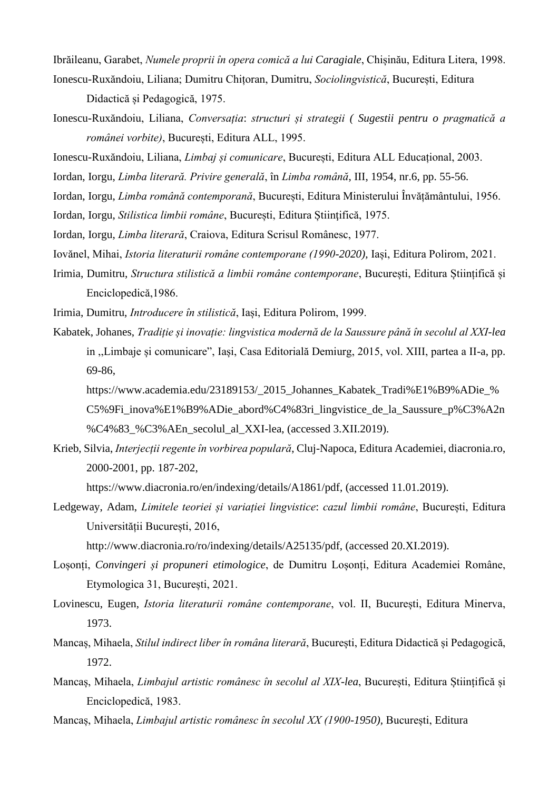Ibrăileanu, Garabet, *Numele proprii în opera comică a lui Caragiale*, Chișinău, Editura Litera, 1998.

- Ionescu-Ruxăndoiu, Liliana; Dumitru Chițoran, Dumitru, *Sociolingvistică*, București, Editura Didactică și Pedagogică, 1975.
- Ionescu-Ruxăndoiu, Liliana, *Conversația*: *structuri și strategii ( Sugestii pentru o pragmatică a românei vorbite)*, București, Editura ALL, 1995.
- Ionescu-Ruxăndoiu, Liliana, *Limbaj și comunicare*, București, Editura ALL Educațional, 2003.
- Iordan, Iorgu, *Limba literară. Privire generală*, în *Limba română*, III, 1954, nr.6, pp. 55-56.
- Iordan, Iorgu, *Limba română contemporană*, București, Editura Ministerului Învățământului, 1956.
- Iordan, Iorgu, *Stilistica limbii române*, București, Editura Știinţifică, 1975.
- Iordan, Iorgu, *Limba literară*, Craiova, Editura Scrisul Românesc, 1977.
- Iovănel, Mihai, *Istoria literaturii române contemporane (1990-2020),* Iași, Editura Polirom, 2021.
- Irimia, Dumitru, *Structura stilistică a limbii române contemporane*, București, Editura Științifică și Enciclopedică,1986.

Irimia, Dumitru, *Introducere în stilistică*, Iași, Editura Polirom, 1999.

- Kabatek, Johanes, *Tradiție și inovație: lingvistica modernă de la Saussure până în secolul al XXI-lea* in ,,Limbaje și comunicare", Iași, Casa Editorială Demiurg, 2015, vol. XIII, partea a II-a, pp. 69-86,
	- [https://www.academia.edu/23189153/\\_2015\\_Johannes\\_Kabatek\\_Tradi%E1%B9%ADie\\_%](https://www.academia.edu/23189153/_2015_Johannes_Kabatek_Tradi%E1%B9%ADie_%C5%9Fi_inova%E1%B9%ADie_abord%C4%83ri_lingvistice_de_la_Saussure_p%C3%A2n%C4%83_%C3%AEn_secolul_al_XXI-lea) C5%9Fi inova%E1%B9%ADie abord%C4%83ri lingvistice de la Saussure p%C3%A2n [%C4%83\\_%C3%AEn\\_secolul\\_al\\_XXI-lea,](https://www.academia.edu/23189153/_2015_Johannes_Kabatek_Tradi%E1%B9%ADie_%C5%9Fi_inova%E1%B9%ADie_abord%C4%83ri_lingvistice_de_la_Saussure_p%C3%A2n%C4%83_%C3%AEn_secolul_al_XXI-lea) (accessed 3.XII.2019).
- Krieb, Silvia, *Interjecții regente în vorbirea populară*, Cluj-Napoca, Editura Academiei, diacronia.ro, 2000-2001, pp. 187-202,

[https://www.diacronia.ro/en/indexing/details/A1861/pdf,](https://www.diacronia.ro/en/indexing/details/A1861/pdf) (accessed 11.01.2019).

Ledgeway, Adam, *Limitele teoriei și variației lingvistice*: *cazul limbii române*, București, Editura Universității București, 2016,

[http://www.diacronia.ro/ro/indexing/details/A25135/pdf, \(accessed](http://www.diacronia.ro/ro/indexing/details/A25135/pdf,%20(accessed) 20.XI.2019).

- Loșonți, *Convingeri și propuneri etimologice*, de Dumitru Loșonți, Editura Academiei Române, Etymologica 31, București, 2021.
- Lovinescu, Eugen, *Istoria literaturii române contemporane*, vol. II, București, Editura Minerva, 1973.
- Mancaș, Mihaela, *Stilul indirect liber în româna literară*, București, Editura Didactică și Pedagogică, 1972.
- Mancaș, Mihaela, *Limbajul artistic românesc în secolul al XIX-lea*, București, Editura Științifică și Enciclopedică, 1983.
- Mancaș, Mihaela, *Limbajul artistic românesc în secolul XX (1900-1950),* București, Editura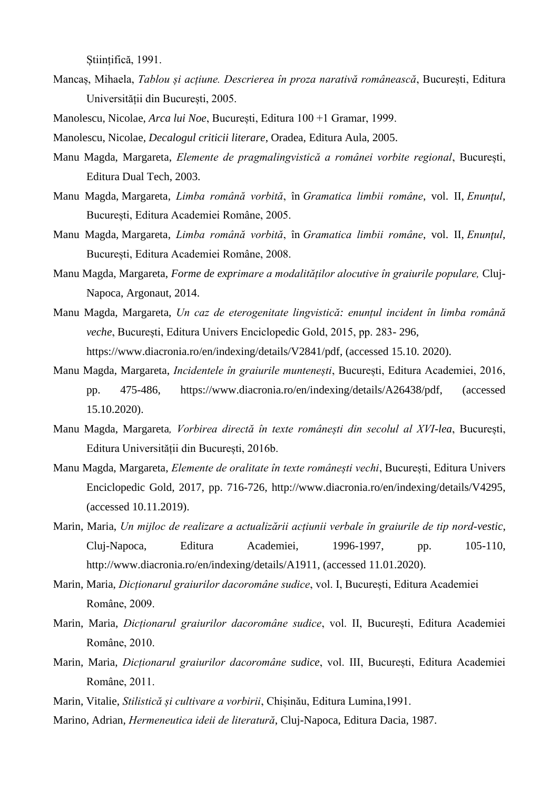Stiințifică, 1991.

- Mancaș, Mihaela, *Tablou și acțiune. Descrierea în proza narativă românească*, București, Editura Universității din București, 2005.
- Manolescu, Nicolae, *Arca lui Noe*, București, Editura 100 +1 Gramar, 1999.

Manolescu, Nicolae*, Decalogul criticii literare*, Oradea, Editura Aula, 2005.

- Manu Magda, Margareta, *Elemente de pragmalingvistică a românei vorbite regional*, București, Editura Dual Tech, 2003.
- Manu Magda, Margareta, *Limba română vorbită*, în *Gramatica limbii române*, vol. II, *Enunţul*, București, Editura Academiei Române, 2005.
- Manu Magda, Margareta, *Limba română vorbită*, în *Gramatica limbii române*, vol. II, *Enunţul*, București, Editura Academiei Române, 2008.
- Manu Magda, Margareta, *Forme de exprimare a modalităților alocutive în graiurile populare,* Cluj-Napoca, Argonaut, 2014.
- Manu Magda, Margareta, *Un caz de eterogenitate lingvistică: enunțul incident în limba română veche*, București, Editura Univers Enciclopedic Gold, 2015, pp. 283- 296, [https://www.diacronia.ro/en/indexing/details/V2841/pdf,](https://www.diacronia.ro/en/indexing/details/V2841/pdf) (accessed 15.10. 2020).
- Manu Magda, Margareta, *Incidentele în graiurile muntenești*, București, Editura Academiei, 2016, pp. 475-486, [https://www.diacronia.ro/en/indexing/details/A26438/pdf,](https://www.diacronia.ro/en/indexing/details/A26438/pdf) (accessed 15.10.2020).
- Manu Magda, Margareta*, Vorbirea directă în texte românești din secolul al XVI-lea*, București, Editura Universității din București, 2016b.
- Manu Magda, Margareta, *Elemente de oralitate în texte românești vechi*, București, Editura Univers Enciclopedic Gold, 2017, pp. 716-726, [http://www.diacronia.ro/en/indexing/details/V4295,](http://www.diacronia.ro/en/indexing/details/V4295) (accessed 10.11.2019).
- Marin, Maria, *Un mijloc de realizare a actualizării acțiunii verbale în graiurile de tip nord-vestic*, Cluj-Napoca, Editura Academiei, 1996-1997, pp. 105-110, <http://www.diacronia.ro/en/indexing/details/A1911>*,* (accessed 11.01.2020).
- Marin, Maria, *Dicționarul graiurilor dacoromâne sudice*, vol. I, București, Editura Academiei Române, 2009.
- Marin, Maria, *Dicționarul graiurilor dacoromâne sudice*, vol. II, București, Editura Academiei Române, 2010.
- Marin, Maria, *Dicționarul graiurilor dacoromâne sudice*, vol. III, București, Editura Academiei Române, 2011.
- Marin, Vitalie, *Stilistică și cultivare a vorbirii*, Chișinău, Editura Lumina,1991.
- Marino, Adrian, *Hermeneutica ideii de literatură*, Cluj-Napoca, Editura Dacia, 1987.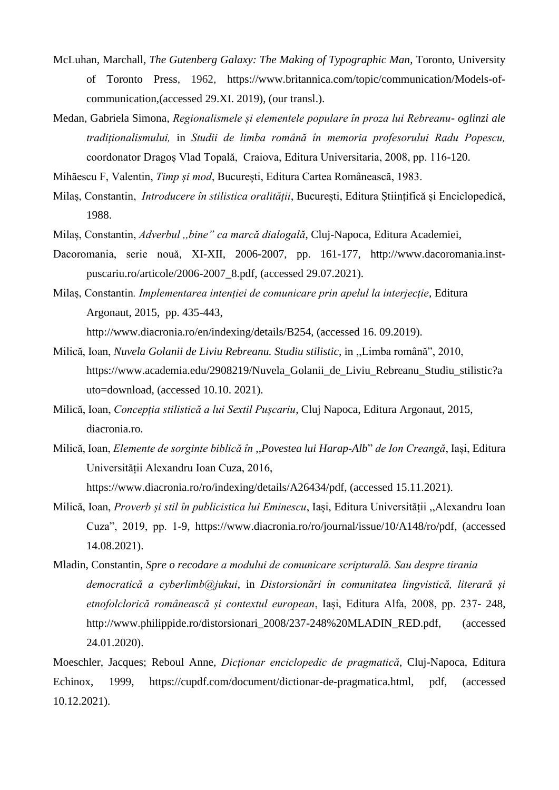- McLuhan*,* Marchall*, The Gutenberg Galaxy: The Making of Typographic Man*, Toronto, University of Toronto Press, 1962, [https://www.britannica.com/topic/communication/Models-of](https://www.britannica.com/topic/communication/Models-of-communication)[communication,](https://www.britannica.com/topic/communication/Models-of-communication)(accessed 29.XI. 2019), (our transl.).
- Medan, Gabriela Simona, *Regionalismele și elementele populare în proza lui Rebreanu- oglinzi ale tradiționalismului,* in *Studii de limba română în memoria profesorului Radu Popescu,*  coordonator Dragoș Vlad Topală, Craiova, Editura Universitaria, 2008, pp. 116-120.

Mihăescu F, Valentin, *Timp și mod*, București, Editura Cartea Românească, 1983.

- Milaș, Constantin, *Introducere în stilistica oralității*, București, Editura Științifică și Enciclopedică, 1988.
- Milaș, Constantin, *Adverbul ,,bine" ca marcă dialogală*, Cluj-Napoca, Editura Academiei,
- Dacoromania, serie nouă, XI-XII, 2006-2007, pp. 161-177, http://www.dacoromania.instpuscariu.ro/articole/2006-2007\_8.pdf, (accessed 29.07.2021).
- Milaș, Constantin*. Implementarea intenției de comunicare prin apelul la interjecție*, Editura Argonaut, 2015, pp. 435-443, [http://www.diacronia.ro/en/indexing/details/B254,](http://www.diacronia.ro/en/indexing/details/B254) (accessed 16. 09.2019).
- Milică, Ioan, *Nuvela Golanii de Liviu Rebreanu. Studiu stilistic*, in ,,Limba română", 2010, [https://www.academia.edu/2908219/Nuvela\\_Golanii\\_de\\_Liviu\\_Rebreanu\\_Studiu\\_stilistic?a](https://www.academia.edu/2908219/Nuvela_Golanii_de_Liviu_Rebreanu_Studiu_stilistic?auto=download) [uto=download,](https://www.academia.edu/2908219/Nuvela_Golanii_de_Liviu_Rebreanu_Studiu_stilistic?auto=download) (accessed 10.10. 2021).
- Milică, Ioan, *Concepția stilistică a lui Sextil Pușcariu*, Cluj Napoca, Editura Argonaut, 2015, diacronia.ro.
- Milică, Ioan, *Elemente de sorginte biblică în* ,,*Povestea lui Harap-Alb*" *de Ion Creangă*, Iași, Editura Universității Alexandru Ioan Cuza, 2016,

[https://www.diacronia.ro/ro/indexing/details/A26434/pdf,](https://www.diacronia.ro/ro/indexing/details/A26434/pdf) (accessed 15.11.2021).

- Milică, Ioan, *Proverb și stil în publicistica lui Eminescu*, Iași, Editura Universității ,,Alexandru Ioan Cuza", 2019, pp. 1-9, [https://www.diacronia.ro/ro/journal/issue/10/A148/ro/pdf,](https://www.diacronia.ro/ro/journal/issue/10/A148/ro/pdf) (accessed 14.08.2021).
- Mladin, Constantin, *Spre o recodare a modului de comunicare scripturală. Sau despre tirania democratică a cyberlimb@jukui*, in *Distorsionări în comunitatea lingvistică, literară și etnofolclorică românească și contextul european*, Iași, Editura Alfa, 2008, pp. 237- 248, [http://www.philippide.ro/distorsionari\\_2008/237-248%20MLADIN\\_RED.pdf,](http://www.philippide.ro/distorsionari_2008/237-248%20MLADIN_RED.pdf) (accessed 24.01.2020).

Moeschler, Jacques; Reboul Anne, *Dicționar enciclopedic de pragmatică*, Cluj-Napoca, Editura Echinox, 1999, [https://cupdf.com/document/dictionar-de-pragmatica.html,](https://cupdf.com/document/dictionar-de-pragmatica.html) pdf, (accessed 10.12.2021).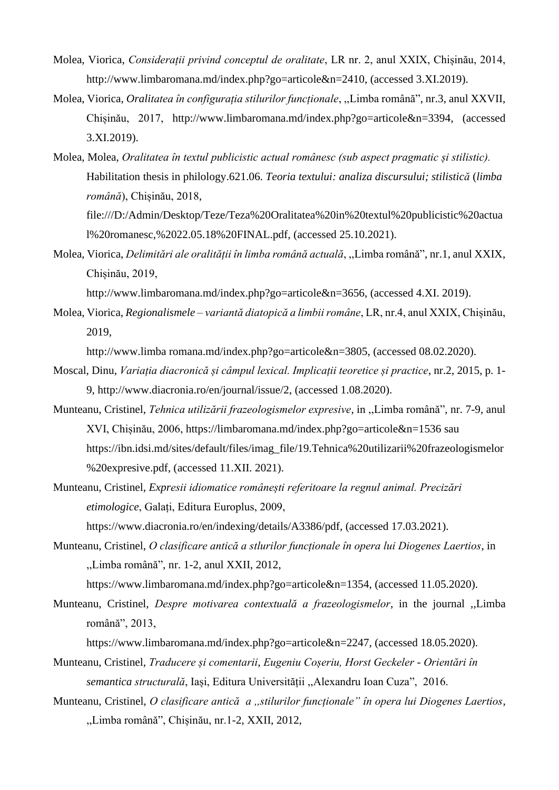- Molea, Viorica, *Considerații privind conceptul de oralitate*, LR nr. 2, anul XXIX, Chișinău, 2014, [http://www.limbaromana.md/index.php?go=articole&n=2410,](http://www.limbaromana.md/index.php?go=articole&n=2410) (accessed 3.XI.2019).
- Molea, Viorica, *Oralitatea în configurația stilurilor funcționale*, ,,Limba română", nr.3, anul XXVII, Chișinău, 2017, [http://www.limbaromana.md/index.php?go=articole&n=3394,](http://www.limbaromana.md/index.php?go=articole&n=3394) (accessed 3.XI.2019).
- Molea, Molea, *Oralitatea în textul publicistic actual românesc (sub aspect pragmatic și stilistic).* Habilitation thesis in philology.621.06. *Teoria textului: analiza discursului; stilistică* (*limba română*), Chișinău, 2018, [file:///D:/Admin/Desktop/Teze/Teza%20Oralitatea%20in%20textul%20publicistic%20actua](file:///D:/Admin/Desktop/Teze/Teza%20Oralitatea%20in%20textul%20publicistic%20actual%20romanesc,%2022.05.18%20FINAL.pdf) [l%20romanesc,%2022.05.18%20FINAL.pdf,](file:///D:/Admin/Desktop/Teze/Teza%20Oralitatea%20in%20textul%20publicistic%20actual%20romanesc,%2022.05.18%20FINAL.pdf) (accessed 25.10.2021).
- Molea, Viorica, *Delimitări ale oralității în limba română actuală*, ,,Limba română", nr.1, anul XXIX, Chișinău, 2019,

[http://www.limbaromana.md/index.php?go=articole&n=3656,](http://www.limbaromana.md/index.php?go=articole&n=3656) (accessed 4.XI. 2019).

Molea, Viorica, *Regionalismele – variantă diatopică a limbii române*, LR, nr.4, anul XXIX, Chișinău, 2019,

http://www.limba romana.md/index.php?go=articole&n=3805, (accessed 08.02.2020).

- Moscal, Dinu, *Variația diacronică și câmpul lexical. Implicații teoretice și practice*, nr.2, 2015, p. 1- 9, [http://www.diacronia.ro/en/journal/issue/2,](http://www.diacronia.ro/en/journal/issue/2) (accessed 1.08.2020).
- Munteanu, Cristinel, *Tehnica utilizării frazeologismelor expresive*, in ,,Limba română", nr. 7-9, anul XVI, Chișinău, 2006,<https://limbaromana.md/index.php?go=articole&n=1536> sau [https://ibn.idsi.md/sites/default/files/imag\\_file/19.Tehnica%20utilizarii%20frazeologismelor](https://ibn.idsi.md/sites/default/files/imag_file/19.Tehnica%20utilizarii%20frazeologismelor%20expresive.pdf) [%20expresive.pdf,](https://ibn.idsi.md/sites/default/files/imag_file/19.Tehnica%20utilizarii%20frazeologismelor%20expresive.pdf) (accessed 11.XII. 2021).
- Munteanu, Cristinel, *Expresii idiomatice românești referitoare la regnul animal. Precizări etimologice*, Galați, Editura Europlus, 2009, [https://www.diacronia.ro/en/indexing/details/A3386/pdf,](https://www.diacronia.ro/en/indexing/details/A3386/pdf) (accessed 17.03.2021).
- Munteanu, Cristinel, *O clasificare antică a stlurilor funcționale în opera lui Diogenes Laertios*, in ,,Limba română", nr. 1-2, anul XXII, 2012,

[https://www.limbaromana.md/index.php?go=articole&n=1354,](https://www.limbaromana.md/index.php?go=articole&n=1354) (accessed 11.05.2020).

Munteanu, Cristinel, *Despre motivarea contextuală a frazeologismelor*, in the journal ,,Limba română", 2013,

[https://www.limbaromana.md/index.php?go=articole&n=2247,](https://www.limbaromana.md/index.php?go=articole&n=2247) (accessed 18.05.2020).

- Munteanu, Cristinel, *Traducere și comentarii*, *Eugeniu Coșeriu, Horst Geckeler - Orientări în semantica structurală*, Iași, Editura Universității ,,Alexandru Ioan Cuza", 2016.
- Munteanu, Cristinel, *O clasificare antică a ,,stilurilor funcționale" în opera lui Diogenes Laertios*, ,,Limba română", Chișinău, nr.1-2, XXII, 2012,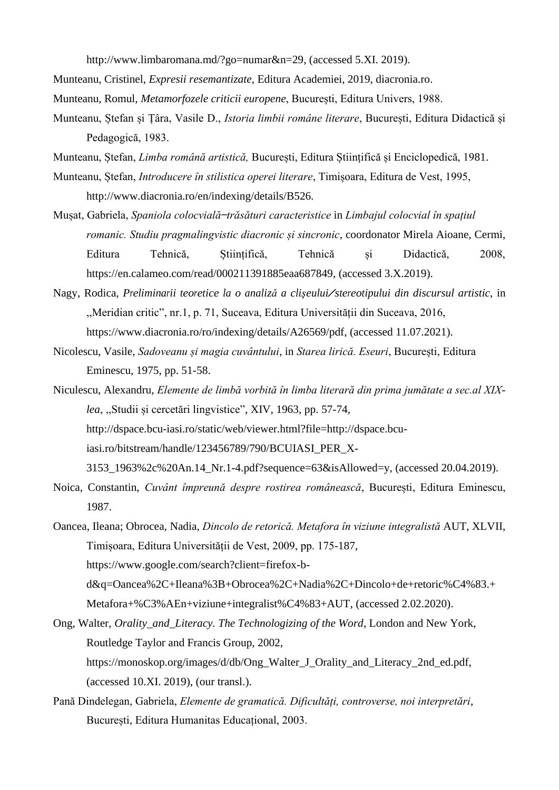[http://www.limbaromana.md/?go=numar&n=29,](http://www.limbaromana.md/?go=numar&n=29) (accessed 5.XI. 2019).

Munteanu, Cristinel, *Expresii resemantizate*, Editura Academiei, 2019, diacronia.ro.

Munteanu, Romul, *Metamorfozele criticii europene*, București, Editura Univers, 1988.

- Munteanu, Ștefan și Țâra, Vasile D., *Istoria limbii române literare*, București, Editura Didactică și Pedagogică, 1983.
- Munteanu, Ștefan, *Limba română artistică,* București, Editura Științifică și Enciclopedică, 1981.
- Munteanu, Ștefan, *Introducere în stilistica operei literare*, Timișoara, Editura de Vest, 1995, http://www.diacronia.ro/en/indexing/details/B526.
- Mușat, Gabriela, *Spaniola colocvială ̶trăsături caracteristice* in *Limbajul colocvial în spațiul romanic. Studiu pragmalingvistic diacronic și sincronic*, coordonator Mirela Aioane, Cermi, Editura Tehnică, Științifică, Tehnică și Didactică, 2008, [https://en.calameo.com/read/000211391885eaa687849,](https://en.calameo.com/read/000211391885eaa687849) (accessed 3.X.2019).
- Nagy, Rodica, *Preliminarii teoretice la <sup>o</sup> analiză <sup>a</sup> clişeului/stereotipului din discursul artistic*, in ,,Meridian critic", nr.1, p. 71, Suceava, Editura Universității din Suceava, 2016, [https://www.diacronia.ro/ro/indexing/details/A26569/pdf,](https://www.diacronia.ro/ro/indexing/details/A26569/pdf) (accessed 11.07.2021).
- Nicolescu, Vasile, *Sadoveanu și magia cuvântului*, in *Starea lirică. Eseuri*, București, Editura Eminescu, 1975, pp. 51-58.
- Niculescu, Alexandru, *Elemente de limbă vorbită în limba literară din prima jumătate a sec.al XIXlea*, ,,Studii și cercetări lingvistice", XIV, 1963, pp. 57-74, [http://dspace.bcu-iasi.ro/static/web/viewer.html?file=http://dspace.bcu](http://dspace.bcu-iasi.ro/static/web/viewer.html?file=http://dspace.bcu-iasi.ro/bitstream/handle/123456789/790/BCUIASI_PER_X-3153_1963%2c%20An.14_Nr.1-4.pdf?sequence=63&isAllowed=y)[iasi.ro/bitstream/handle/123456789/790/BCUIASI\\_PER\\_X-](http://dspace.bcu-iasi.ro/static/web/viewer.html?file=http://dspace.bcu-iasi.ro/bitstream/handle/123456789/790/BCUIASI_PER_X-3153_1963%2c%20An.14_Nr.1-4.pdf?sequence=63&isAllowed=y)[3153\\_1963%2c%20An.14\\_Nr.1-4.pdf?sequence=63&isAllowed=y,](http://dspace.bcu-iasi.ro/static/web/viewer.html?file=http://dspace.bcu-iasi.ro/bitstream/handle/123456789/790/BCUIASI_PER_X-3153_1963%2c%20An.14_Nr.1-4.pdf?sequence=63&isAllowed=y) (accessed 20.04.2019).
- Noica, Constantin, *Cuvânt împreună despre rostirea românească*, București, Editura Eminescu, 1987.
- Oancea, Ileana; Obrocea, Nadia, *Dincolo de retorică. Metafora în viziune integralistă* AUT, XLVII, Timișoara, Editura Universității de Vest, 2009, pp. 175-187, [https://www.google.com/search?client=firefox-b](https://www.google.com/search?client=firefox-b-d&q=Oancea%2C+Ileana%3B+Obrocea%2C+Nadia%2C+Dincolo+de+retoric%C4%83.+Metafora+%C3%AEn+viziune+integralist%C4%83+AUT)[d&q=Oancea%2C+Ileana%3B+Obrocea%2C+Nadia%2C+Dincolo+de+retoric%C4%83.+](https://www.google.com/search?client=firefox-b-d&q=Oancea%2C+Ileana%3B+Obrocea%2C+Nadia%2C+Dincolo+de+retoric%C4%83.+Metafora+%C3%AEn+viziune+integralist%C4%83+AUT) [Metafora+%C3%AEn+viziune+integralist%C4%83+AUT,](https://www.google.com/search?client=firefox-b-d&q=Oancea%2C+Ileana%3B+Obrocea%2C+Nadia%2C+Dincolo+de+retoric%C4%83.+Metafora+%C3%AEn+viziune+integralist%C4%83+AUT) (accessed 2.02.2020).
- Ong, Walter, *Orality\_and\_Literacy. The Technologizing of the Word*, London and New York, Routledge Taylor and Francis Group, 2002, [https://monoskop.org/images/d/db/Ong\\_Walter\\_J\\_Orality\\_and\\_Literacy\\_2nd\\_ed.pdf,](https://monoskop.org/images/d/db/Ong_Walter_J_Orality_and_Literacy_2nd_ed.pdf) (accessed 10.XI. 2019), (our transl.).
- Pană Dindelegan, Gabriela, *Elemente de gramatică. Dificultăți, controverse, noi interpretări*, București, Editura Humanitas Educațional, 2003.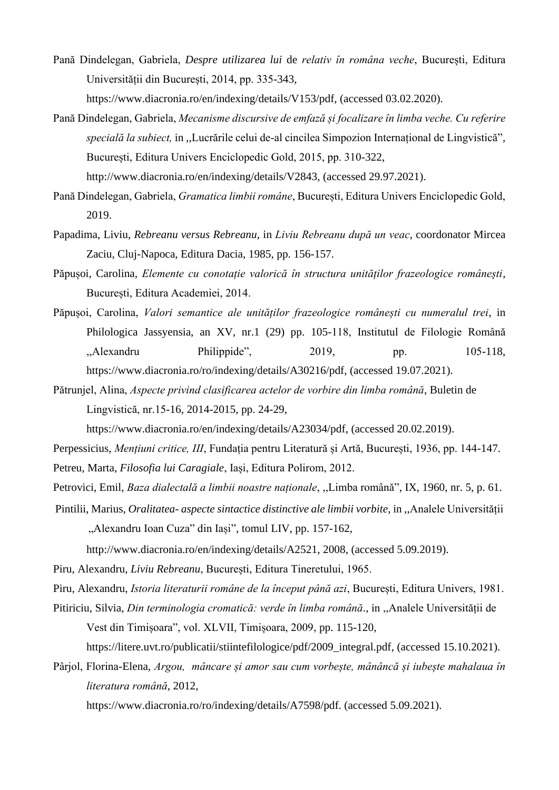Pană Dindelegan, Gabriela, *Despre utilizarea lui* de *relativ în româna veche*, București, Editura Universității din București, 2014, pp. 335-343,

[https://www.diacronia.ro/en/indexing/details/V153/pdf,](https://www.diacronia.ro/en/indexing/details/V153/pdf) (accessed 03.02.2020).

- Pană Dindelegan, Gabriela, *Mecanisme discursive de emfază și focalizare în limba veche. Cu referire specială la subiect,* in ,,Lucrările celui de-al cincilea Simpozion Internațional de Lingvistică"*,*  București, Editura Univers Enciclopedic Gold, 2015, pp. 310-322, [http://www.diacronia.ro/en/indexing/details/V2843,](http://www.diacronia.ro/en/indexing/details/V2843) (accessed 29.97.2021).
- Pană Dindelegan, Gabriela, *Gramatica limbii române*, București, Editura Univers Enciclopedic Gold, 2019.
- Papadima, Liviu, *Rebreanu versus Rebreanu*, in *Liviu Rebreanu după un veac*, coordonator Mircea Zaciu, Cluj-Napoca, Editura Dacia, 1985, pp. 156-157.
- Păpușoi, Carolina, *Elemente cu conotație valorică în structura unităților frazeologice românești*, București, Editura Academiei, 2014.
- Păpușoi, Carolina, *Valori semantice ale unităților frazeologice românești cu numeralul trei*, in Philologica Jassyensia, an XV, nr.1 (29) pp. 105-118, Institutul de Filologie Română ,,Alexandru Philippide", 2019, pp. 105-118, [https://www.diacronia.ro/ro/indexing/details/A30216/pdf,](https://www.diacronia.ro/ro/indexing/details/A30216/pdf) (accessed 19.07.2021).
- Pătrunjel, Alina, *Aspecte privind clasificarea actelor de vorbire din limba română*, Buletin de Lingvistică, nr.15-16, 2014-2015, pp. 24-29,

[https://www.diacronia.ro/en/indexing/details/A23034/pdf,](https://www.diacronia.ro/en/indexing/details/A23034/pdf) (accessed 20.02.2019).

Perpessicius, *Mențiuni critice, III*, Fundația pentru Literatură și Artă, București, 1936, pp. 144-147.

Petreu*,* Marta, *Filosofia lui Caragiale*, Iași, Editura Polirom, 2012.

Petrovici, Emil, *Baza dialectală a limbii noastre naționale*, ,,Limba română", IX, 1960, nr. 5, p. 61.

Pintilii, Marius, *Oralitatea- aspecte sintactice distinctive ale limbii vorbite*, in ,,Analele Universității "Alexandru Ioan Cuza" din Iași"*,* tomul LIV, pp. 157-162,

[http://www.diacronia.ro/en/indexing/details/A2521,](http://www.diacronia.ro/en/indexing/details/A2521) 2008, (accessed 5.09.2019).

Piru, Alexandru, *Liviu Rebreanu*, București, Editura Tineretului, 1965.

Piru*,* Alexandru, *Istoria literaturii române de la început până azi*, București, Editura Univers, 1981.

Pitiriciu, Silvia, *Din terminologia cromatică: verde în limba română*., in ,,Analele Universității de Vest din Timișoara", vol. XLVII, Timișoara, 2009, pp. 115-120,

[https://litere.uvt.ro/publicatii/stiintefilologice/pdf/2009\\_integral.pdf,](https://litere.uvt.ro/publicatii/stiintefilologice/pdf/2009_integral.pdf) (accessed 15.10.2021).

Pârjol, Florina-Elena, *Argou, mâncare și amor sau cum vorbește, mânâncă și iubește mahalaua în literatura română*, 2012,

[https://www.diacronia.ro/ro/indexing/details/A7598/pdf. \(accessed](https://www.diacronia.ro/ro/indexing/details/A7598/pdf.%20(accesat) 5.09.2021).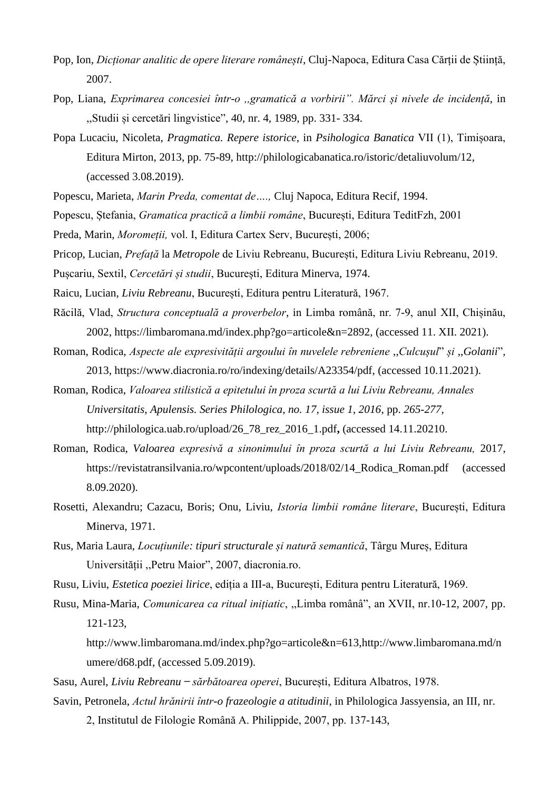- Pop*,* Ion, *Dicționar analitic de opere literare românești*, Cluj-Napoca, Editura Casa Cărții de Știință, 2007.
- Pop, Liana, *Exprimarea concesiei într-o ,,gramatică a vorbirii". Mărci și nivele de incidență*, in ,,Studii și cercetări lingvistice", 40, nr. 4, 1989, pp. 331- 334.
- Popa Lucaciu, Nicoleta, *Pragmatica. Repere istorice*, in *Psihologica Banatica* VII (1), Timișoara, Editura Mirton, 2013, pp. 75-89, [http://philologicabanatica.ro/istoric/detaliuvolum/12,](http://philologicabanatica.ro/istoric/detaliuvolum/12) (accessed 3.08.2019).
- Popescu, Marieta, *Marin Preda, comentat de….,* Cluj Napoca, Editura Recif, 1994.
- Popescu, Ștefania, *Gramatica practică a limbii române*, București, Editura TeditFzh, 2001
- Preda, Marin, *Moromeții,* vol. I, Editura Cartex Serv, București, 2006;
- Pricop, Lucian, *Prefață* la *Metropole* de Liviu Rebreanu, București, Editura Liviu Rebreanu, 2019.
- Pușcariu, Sextil, *Cercetări și studii*, București, Editura Minerva, 1974.
- Raicu, Lucian, *Liviu Rebreanu*, București, Editura pentru Literatură, 1967.
- Răcilă, Vlad, *Structura conceptuală a proverbelor*, in Limba română, nr. 7-9, anul XII, Chișinău, 2002, [https://limbaromana.md/index.php?go=articole&n=2892,](https://limbaromana.md/index.php?go=articole&n=2892) (accessed 11. XII. 2021).
- Roman, Rodica, *Aspecte ale expresivității argoului în nuvelele rebreniene* ,,*Culcușul*" *și* ,,*Golanii*"*,*  2013, [https://www.diacronia.ro/ro/indexing/details/A23354/pdf,](https://www.diacronia.ro/ro/indexing/details/A23354/pdf) (accessed 10.11.2021).
- Roman, Rodica, *Valoarea stilistică a epitetului în proza scurtă a lui Liviu Rebreanu, Annales Universitatis, Apulensis. Series Philologica, no. 17, issue 1, 2016*, pp. *265-277,*  [http://philologica.uab.ro/upload/26\\_78\\_rez\\_2016\\_1.pdf](http://philologica.uab.ro/upload/26_78_rez_2016_1.pdf)**,** (accessed 14.11.20210.
- Roman, Rodica, *Valoarea expresivă a sinonimului în proza scurtă a lui Liviu Rebreanu,* 2017, [https://revistatransilvania.ro/wpcontent/uploads/2018/02/14\\_Rodica\\_Roman.pdf](https://revistatransilvania.ro/wpcontent/uploads/2018/02/14_Rodica_Roman.pdf) (accessed 8.09.2020).
- Rosetti, Alexandru; Cazacu, Boris; Onu, Liviu, *Istoria limbii române literare*, București, Editura Minerva, 1971.
- Rus, Maria Laura, *Locuțiunile: tipuri structurale și natură semantică*, Târgu Mureș, Editura Universității ,,Petru Maior", 2007, diacronia.ro.
- Rusu, Liviu, *Estetica poeziei lirice*, ediția a III-a, București, Editura pentru Literatură, 1969.
- Rusu, Mina-Maria, *Comunicarea ca ritual inițiatic*, ,,Limba românâ", an XVII, nr.10-12, 2007, pp. 121-123,
	- <http://www.limbaromana.md/index.php?go=articole&n=613>[,http://www.limbaromana.md/n](http://www.limbaromana.md/numere/d68.pdf) [umere/d68.pdf,](http://www.limbaromana.md/numere/d68.pdf) (accessed 5.09.2019).
- Sasu, Aurel, *Liviu Rebreanu ̶ sărbătoarea operei*, București, Editura Albatros, 1978.
- Savin, Petronela, *Actul hrănirii într-o frazeologie a atitudinii*, in Philologica Jassyensia, an III, nr. 2, Institutul de Filologie Română A. Philippide, 2007, pp. 137-143,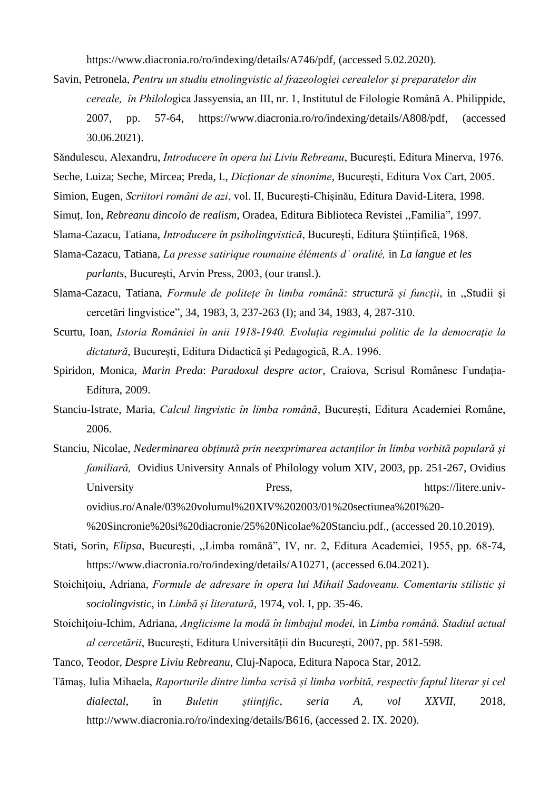[https://www.diacronia.ro/ro/indexing/details/A746/pdf,](https://www.diacronia.ro/ro/indexing/details/A746/pdf) (accessed 5.02.2020).

- Savin, Petronela, *Pentru un studiu etnolingvistic al frazeologiei cerealelor și preparatelor din cereale, în Philolo*gica Jassyensia, an III, nr. 1, Institutul de Filologie Română A. Philippide, 2007, pp. 57-64, [https://www.diacronia.ro/ro/indexing/details/A808/pdf,](https://www.diacronia.ro/ro/indexing/details/A808/pdf) (accessed 30.06.2021).
- Săndulescu, Alexandru, *Introducere în opera lui Liviu Rebreanu*, București, Editura Minerva, 1976.
- Seche, Luiza; Seche, Mircea; Preda, I., *Dicționar de sinonime*, București, Editura Vox Cart, 2005.
- Simion, Eugen, *Scriitori români de azi*, vol. II, București-Chișinău, Editura David-Litera, 1998.
- Simuț, Ion, *Rebreanu dincolo de realism*, Oradea, Editura Biblioteca Revistei ,,Familia", 1997.
- Slama-Cazacu, Tatiana, *Introducere în psiholingvistică*, București, Editura Științifică, 1968.
- Slama-Cazacu, Tatiana, *La presse satirique roumaine éléments dʾ oralité,* in *La langue et les parlants*, București, Arvin Press, 2003, (our transl.).
- Slama-Cazacu, Tatiana, *Formule de politețe în limba română: structură și funcții*, in ,,Studii și cercetări lingvistice", 34, 1983, 3, 237-263 (I); and 34, 1983, 4, 287-310.
- Scurtu, Ioan, *Istoria României în anii 1918-1940. Evoluția regimului politic de la democrație la dictatură*, București, Editura Didactică și Pedagogică, R.A. 1996.
- Spiridon, Monica, *Marin Preda*: *Paradoxul despre actor*, Craiova, Scrisul Românesc Fundația-Editura, 2009.
- Stanciu-Istrate, Maria, *Calcul lingvistic în limba română*, București, Editura Academiei Române, 2006.
- Stanciu, Nicolae, *Nederminarea obținută prin neexprimarea actanților în limba vorbită populară și familiară,*Ovidius University Annals of Philology volum XIV, 2003, pp. 251-267, Ovidius University Press, [https://litere.univ](https://litere.univ-ovidius.ro/Anale/03%20volumul%20XIV%202003/01%20sectiunea%20I%20-%20Sincronie%20si%20diacronie/25%20Nicolae%20Stanciu.pdf)[ovidius.ro/Anale/03%20volumul%20XIV%202003/01%20sectiunea%20I%20-](https://litere.univ-ovidius.ro/Anale/03%20volumul%20XIV%202003/01%20sectiunea%20I%20-%20Sincronie%20si%20diacronie/25%20Nicolae%20Stanciu.pdf) [%20Sincronie%20si%20diacronie/25%20Nicolae%20Stanciu.pdf.](https://litere.univ-ovidius.ro/Anale/03%20volumul%20XIV%202003/01%20sectiunea%20I%20-%20Sincronie%20si%20diacronie/25%20Nicolae%20Stanciu.pdf), (accessed 20.10.2019).
- Stati, Sorin*, Elipsa*, București, ,,Limba română", IV, nr. 2, Editura Academiei, 1955, pp. 68-74, [https://www.diacronia.ro/ro/indexing/details/A10271,](https://www.diacronia.ro/ro/indexing/details/A10271) (accessed 6.04.2021).
- Stoichițoiu, Adriana, *Formule de adresare în opera lui Mihail Sadoveanu. Comentariu stilistic și sociolingvistic*, in *Limbă și literatură*, 1974, vol. I, pp. 35-46.
- Stoichițoiu-Ichim, Adriana, *Anglicisme la modă în limbajul modei,* in *Limba română. Stadiul actual al cercetării*, București, Editura Universității din București, 2007, pp. 581-598.
- Tanco, Teodor, *Despre Liviu Rebreanu*, Cluj-Napoca, Editura Napoca Star, 2012.
- Tămaș, Iulia Mihaela, *Raporturile dintre limba scrisă și limba vorbită, respectiv faptul literar și cel dialectal*, în *Buletin științific*, *seria A, vol XXVII*, 2018, [http://www.diacronia.ro/ro/indexing/details/B616,](http://www.diacronia.ro/ro/indexing/details/B616) (accessed 2. IX. 2020).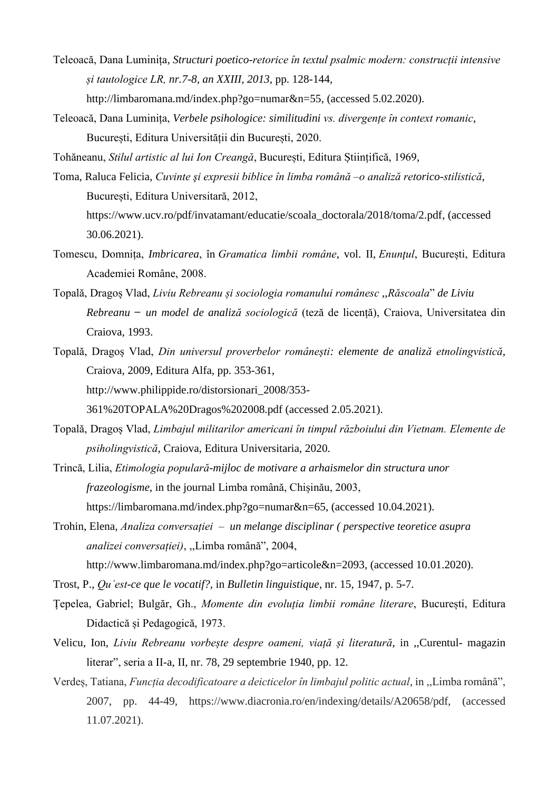- Teleoacă, Dana Luminița*, Structuri poetico-retorice în textul psalmic modern: construcții intensive și tautologice LR, nr.7-8, an XXIII, 2013*, pp. 128-144, [http://limbaromana.md/index.php?go=numar&n=55,](http://limbaromana.md/index.php?go=numar&n=55) (accessed 5.02.2020).
- Teleoacă, Dana Luminița, *Verbele psihologice: similitudini vs. divergențe în context romanic*, București, Editura Universității din București, 2020.

Tohăneanu, *Stilul artistic al lui Ion Creangă*, București, Editura Științifică, 1969,

- Toma, Raluca Felicia, *Cuvinte şi expresii biblice în limba română –o analiză retorico-stilistică*, București, Editura Universitară, 2012, [https://www.ucv.ro/pdf/invatamant/educatie/scoala\\_doctorala/2018/toma/2.pdf,](https://www.ucv.ro/pdf/invatamant/educatie/scoala_doctorala/2018/toma/2.pdf) (accessed 30.06.2021).
- Tomescu, Domnița, *Imbricarea*, în *Gramatica limbii române*, vol. II, *Enunţul*, București, Editura Academiei Române, 2008.
- Topală, Dragoș Vlad, *Liviu Rebreanu și sociologia romanului românesc* ,,*Răscoala*" *de Liviu Rebreanu ̶ un model de analiză sociologică* (teză de licență), Craiova, Universitatea din Craiova, 1993.
- Topală, Dragoș Vlad, *Din universul proverbelor românești: elemente de analiză etnolingvistică*, Craiova, 2009, Editura Alfa, pp. 353-361, [http://www.philippide.ro/distorsionari\\_2008/353-](http://www.philippide.ro/distorsionari_2008/353-)

361%20TOPALA%20Dragos%202008.pdf (accessed 2.05.2021).

Topală, Dragoș Vlad, *Limbajul militarilor americani în timpul războiului din Vietnam. Elemente de psiholingvistică*, Craiova, Editura Universitaria, 2020.

Trincă, Lilia, *Etimologia populară-mijloc de motivare a arhaismelor din structura unor frazeologisme*, in the journal Limba română, Chișinău, 2003, [https://limbaromana.md/index.php?go=numar&n=65,](https://limbaromana.md/index.php?go=numar&n=65) (accessed 10.04.2021).

Trohin, Elena, *Analiza conversației – un melange disciplinar ( perspective teoretice asupra analizei conversației)*, ,,Limba română", 2004, <http://www.limbaromana.md/index.php?go=articole&n=2093>*,* (accessed 10.01.2020).

- Trost, P., *Quˈest-ce que le vocatif?,* in *Bulletin linguistique*, nr. 15, 1947, p. 5-7.
- Țepelea, Gabriel; Bulgăr, Gh., *Momente din evoluția limbii române literare*, București, Editura Didactică și Pedagogică, 1973.
- Velicu, Ion, *Liviu Rebreanu vorbește despre oameni, viață și literatură*, in ,,Curentul- magazin literar", seria a II-a, II, nr. 78, 29 septembrie 1940, pp. 12.
- Verdeș, Tatiana, *Funcția decodificatoare a deicticelor în limbajul politic actual*, in ,,Limba română", 2007, pp. 44-49, https://www.diacronia.ro/en/indexing/details/A20658/pdf, (accessed 11.07.2021).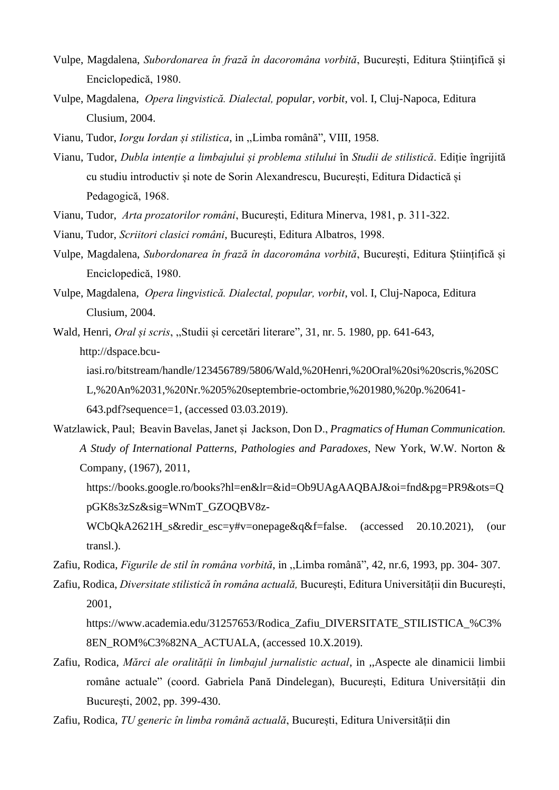- Vulpe, Magdalena, *Subordonarea în frază în dacoromâna vorbită*, Bucureşti, Editura Știinţifică şi Enciclopedică, 1980.
- Vulpe, Magdalena, *Opera lingvistică. Dialectal, popular, vorbit*, vol. I, Cluj-Napoca, Editura Clusium, 2004.
- Vianu, Tudor, *Iorgu Iordan și stilistica*, in ,,Limba română", VIII, 1958.
- Vianu, Tudor, *Dubla intenție a limbajului și problema stilului* în *Studii de stilistică*. Ediție îngrijită cu studiu introductiv și note de Sorin Alexandrescu, București, Editura Didactică și Pedagogică, 1968.
- Vianu, Tudor, *Arta prozatorilor români*, București, Editura Minerva, 1981, p. 311-322.
- Vianu, Tudor, *Scriitori clasici români*, București, Editura Albatros, 1998.
- Vulpe, Magdalena, *Subordonarea în frază în dacoromâna vorbită*, București, Editura Științifică și Enciclopedică, 1980.
- Vulpe, Magdalena, *Opera lingvistică. Dialectal, popular, vorbit*, vol. I, Cluj-Napoca, Editura Clusium, 2004.
- Wald, Henri, *Oral și scris*, ,,Studii și cercetări literare", 31, nr. 5. 1980, pp. 641-643, [http://dspace.bcu](http://dspace.bcu-iasi.ro/bitstream/handle/123456789/5806/Wald,%20Henri,%20Oral%20si%20scris,%20SCL,%20An%2031,%20Nr.%205%20septembrie-octombrie,%201980,%20p.%20641-643.pdf?sequence=1)[iasi.ro/bitstream/handle/123456789/5806/Wald,%20Henri,%20Oral%20si%20scris,%20SC](http://dspace.bcu-iasi.ro/bitstream/handle/123456789/5806/Wald,%20Henri,%20Oral%20si%20scris,%20SCL,%20An%2031,%20Nr.%205%20septembrie-octombrie,%201980,%20p.%20641-643.pdf?sequence=1)
	- [L,%20An%2031,%20Nr.%205%20septembrie-octombrie,%201980,%20p.%20641-](http://dspace.bcu-iasi.ro/bitstream/handle/123456789/5806/Wald,%20Henri,%20Oral%20si%20scris,%20SCL,%20An%2031,%20Nr.%205%20septembrie-octombrie,%201980,%20p.%20641-643.pdf?sequence=1)
	- [643.pdf?sequence=1,](http://dspace.bcu-iasi.ro/bitstream/handle/123456789/5806/Wald,%20Henri,%20Oral%20si%20scris,%20SCL,%20An%2031,%20Nr.%205%20septembrie-octombrie,%201980,%20p.%20641-643.pdf?sequence=1) (accessed 03.03.2019).
- Watzlawick, Paul; Beavin Bavelas, Janet și Jackson, Don D., *Pragmatics of Human Communication. A Study of International Patterns, Pathologies and Paradoxes*, New York, W.W. Norton & Company, (1967), 2011,
	- [https://books.google.ro/books?hl=en&lr=&id=Ob9UAgAAQBAJ&oi=fnd&pg=PR9&ots=Q](https://books.google.ro/books?hl=en&lr=&id=Ob9UAgAAQBAJ&oi=fnd&pg=PR9&ots=QpGK8s3zSz&sig=WNmT_GZOQBV8z-WCbQkA2621H_s&redir_esc=y#v=onepage&q&f=false) [pGK8s3zSz&sig=WNmT\\_GZOQBV8z-](https://books.google.ro/books?hl=en&lr=&id=Ob9UAgAAQBAJ&oi=fnd&pg=PR9&ots=QpGK8s3zSz&sig=WNmT_GZOQBV8z-WCbQkA2621H_s&redir_esc=y#v=onepage&q&f=false)
	- [WCbQkA2621H\\_s&redir\\_esc=y#v=onepage&q&f=false.](https://books.google.ro/books?hl=en&lr=&id=Ob9UAgAAQBAJ&oi=fnd&pg=PR9&ots=QpGK8s3zSz&sig=WNmT_GZOQBV8z-WCbQkA2621H_s&redir_esc=y#v=onepage&q&f=false) (accessed 20.10.2021), (our transl.).
- Zafiu, Rodica, *Figurile de stil în româna vorbită*, in ,,Limba română", 42, nr.6, 1993, pp. 304- 307.
- Zafiu, Rodica, *Diversitate stilistică în româna actuală,* București, Editura Universității din București, 2001,
	- [https://www.academia.edu/31257653/Rodica\\_Zafiu\\_DIVERSITATE\\_STILISTICA\\_%C3%](https://www.academia.edu/31257653/Rodica_Zafiu_DIVERSITATE_STILISTICA_%C3%8EN_ROM%C3%82NA_ACTUALA) [8EN\\_ROM%C3%82NA\\_ACTUALA,](https://www.academia.edu/31257653/Rodica_Zafiu_DIVERSITATE_STILISTICA_%C3%8EN_ROM%C3%82NA_ACTUALA) (accessed 10.X.2019).
- Zafiu, Rodica, *Mărci ale oralității în limbajul jurnalistic actual*, in ,,Aspecte ale dinamicii limbii române actuale" (coord. Gabriela Pană Dindelegan), București, Editura Universității din București, 2002, pp. 399-430.
- Zafiu, Rodica, *TU generic în limba română actuală*, București, Editura Universității din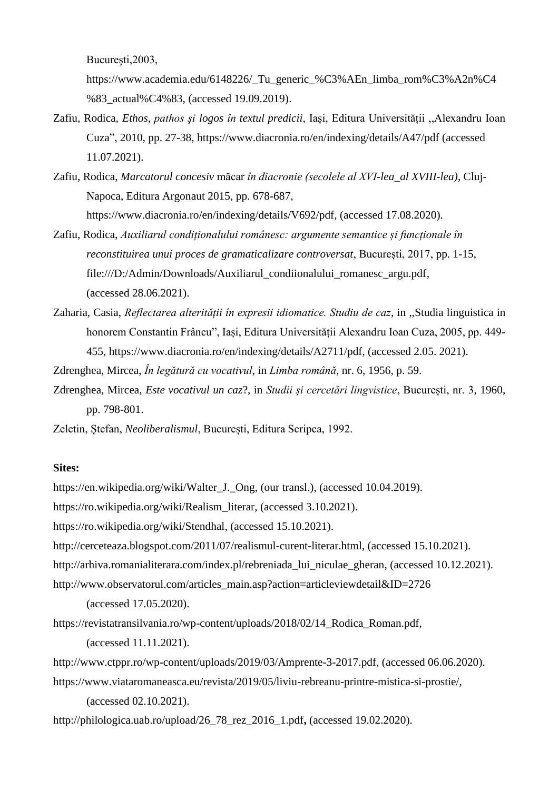București,2003,

[https://www.academia.edu/6148226/\\_Tu\\_generic\\_%C3%AEn\\_limba\\_rom%C3%A2n%C4](https://www.academia.edu/6148226/_Tu_generic_%C3%AEn_limba_rom%C3%A2n%C4%83_actual%C4%83) [%83\\_actual%C4%83,](https://www.academia.edu/6148226/_Tu_generic_%C3%AEn_limba_rom%C3%A2n%C4%83_actual%C4%83) (accessed 19.09.2019).

- Zafiu, Rodica, *Ethos, pathos şi logos în textul predicii*, Iași, Editura Universității ,,Alexandru Ioan Cuza", 2010, pp. 27-38, https://www.diacronia.ro/en/indexing/details/A47/pdf (accessed 11.07.2021).
- Zafiu, Rodica, *Marcatorul concesiv* măcar *în diacronie (secolele al XVI-lea\_al XVIII-lea)*, Cluj-Napoca, Editura Argonaut 2015, pp. 678-687, [https://www.diacronia.ro/en/indexing/details/V692/pdf,](https://www.diacronia.ro/en/indexing/details/V692/pdf) (accessed 17.08.2020).
- Zafiu, Rodica, *Auxiliarul condiționalului românesc: argumente semantice și funcționale în reconstituirea unui proces de gramaticalizare controversat*, București, 2017, pp. 1-15, [file:///D:/Admin/Downloads/Auxiliarul\\_condiionalului\\_romanesc\\_argu.pdf,](file:///D:/Admin/Downloads/Auxiliarul_condiionalului_romanesc_argu.pdf) (accessed 28.06.2021).
- Zaharia, Casia, *Reflectarea alterității în expresii idiomatice. Studiu de caz*, in ,,Studia linguistica in honorem Constantin Frâncu", Iași, Editura Universității Alexandru Ioan Cuza, 2005, pp. 449- 455, https://www.diacronia.ro/en/indexing/details/A2711/pdf, (accessed 2.05. 2021).

Zdrenghea, Mircea, *În legătură cu vocativul*, in *Limba română*, nr. 6, 1956, p. 59.

Zdrenghea, Mircea, *Este vocativul un caz*?, in *Studii și cercetări lingvistice*, București, nr. 3, 1960, pp. 798-801.

Zeletin, Ștefan, *Neoliberalismul*, București, Editura Scripca, 1992.

### **Sites:**

[https://en.wikipedia.org/wiki/Walter\\_J.\\_Ong,](https://en.wikipedia.org/wiki/Walter_J._Ong) (our transl.), (accessed 10.04.2019). [https://ro.wikipedia.org/wiki/Realism\\_literar,](https://ro.wikipedia.org/wiki/Realism_literar) (accessed 3.10.2021). [https://ro.wikipedia.org/wiki/Stendhal,](https://ro.wikipedia.org/wiki/Stendhal) (accessed 15.10.2021). [http://cerceteaza.blogspot.com/2011/07/realismul-curent-literar.html,](http://cerceteaza.blogspot.com/2011/07/realismul-curent-literar.html) (accessed 15.10.2021). http://arhiva.romanialiterara.com/index.pl/rebreniada lui niculae gheran, (accessed 10.12.2021). [http://www.observatorul.com/articles\\_main.asp?action=articleviewdetail&ID=2726](http://www.observatorul.com/articles_main.asp?action=articleviewdetail&ID=2726)

(accessed 17.05.2020).

[https://revistatransilvania.ro/wp-content/uploads/2018/02/14\\_Rodica\\_Roman.pdf,](https://revistatransilvania.ro/wp-content/uploads/2018/02/14_Rodica_Roman.pdf)

(accessed 11.11.2021).

[http://www.ctppr.ro/wp-content/uploads/2019/03/Amprente-3-2017.pdf,](http://www.ctppr.ro/wp-content/uploads/2019/03/Amprente-3-2017.pdf) (accessed 06.06.2020).

[https://www.viataromaneasca.eu/revista/2019/05/liviu-rebreanu-printre-mistica-si-prostie/,](https://www.viataromaneasca.eu/revista/2019/05/liviu-rebreanu-printre-mistica-si-prostie/) (accessed 02.10.2021).

[http://philologica.uab.ro/upload/26\\_78\\_rez\\_2016\\_1.pdf](http://philologica.uab.ro/upload/26_78_rez_2016_1.pdf)**,** (accessed 19.02.2020).